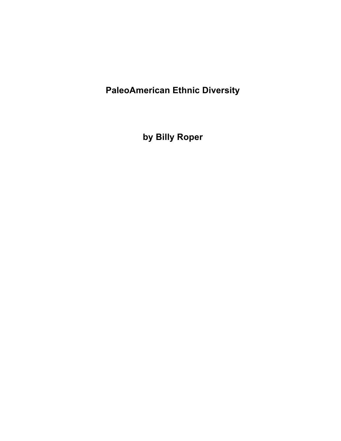**PaleoAmerican Ethnic Diversity** 

**by Billy Roper**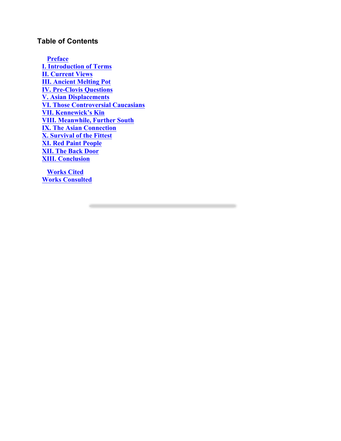# **Table of Contents**

**Preface I. Introduction of Terms II. Current Views III. Ancient Melting Pot IV. Pre-Clovis Questions V. Asian Displacements VI. Those Controversial Caucasians VII. Kennewick's Kin VIII. Meanwhile, Further South IX. The Asian Connection X. Survival of the Fittest XI. Red Paint People XII. The Back Door XIII. Conclusion** 

**Works Cited Works Consulted**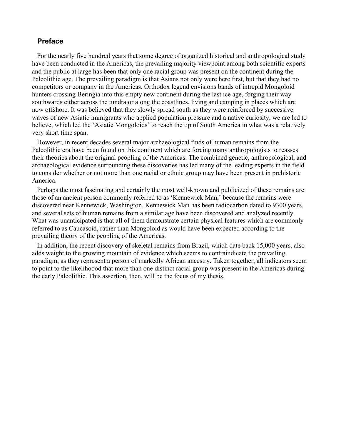### **Preface**

For the nearly five hundred years that some degree of organized historical and anthropological study have been conducted in the Americas, the prevailing majority viewpoint among both scientific experts and the public at large has been that only one racial group was present on the continent during the Paleolithic age. The prevailing paradigm is that Asians not only were here first, but that they had no competitors or company in the Americas. Orthodox legend envisions bands of intrepid Mongoloid hunters crossing Beringia into this empty new continent during the last ice age, forging their way southwards either across the tundra or along the coastlines, living and camping in places which are now offshore. It was believed that they slowly spread south as they were reinforced by successive waves of new Asiatic immigrants who applied population pressure and a native curiosity, we are led to believe, which led the 'Asiatic Mongoloids' to reach the tip of South America in what was a relatively very short time span.

However, in recent decades several major archaeological finds of human remains from the Paleolithic era have been found on this continent which are forcing many anthropologists to reasses their theories about the original peopling of the Americas. The combined genetic, anthropological, and archaeological evidence surrounding these discoveries has led many of the leading experts in the field to consider whether or not more than one racial or ethnic group may have been present in prehistoric America.

Perhaps the most fascinating and certainly the most well-known and publicized of these remains are those of an ancient person commonly referred to as 'Kennewick Man,' because the remains were discovered near Kennewick, Washington. Kennewick Man has been radiocarbon dated to 9300 years, and several sets of human remains from a similar age have been discovered and analyzed recently. What was unanticipated is that all of them demonstrate certain physical features which are commonly referred to as Caucasoid, rather than Mongoloid as would have been expected according to the prevailing theory of the peopling of the Americas.

In addition, the recent discovery of skeletal remains from Brazil, which date back 15,000 years, also adds weight to the growing mountain of evidence which seems to contraindicate the prevailing paradigm, as they represent a person of markedly African ancestry. Taken together, all indicators seem to point to the likelihoood that more than one distinct racial group was present in the Americas during the early Paleolithic. This assertion, then, will be the focus of my thesis.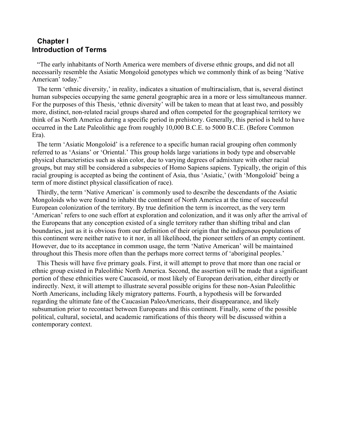# **Chapter I Introduction of Terms**

"The early inhabitants of North America were members of diverse ethnic groups, and did not all necessarily resemble the Asiatic Mongoloid genotypes which we commonly think of as being 'Native American' today."

The term 'ethnic diversity,' in reality, indicates a situation of multiracialism, that is, several distinct human subspecies occupying the same general geographic area in a more or less simultaneous manner. For the purposes of this Thesis, 'ethnic diversity' will be taken to mean that at least two, and possibly more, distinct, non-related racial groups shared and often competed for the geographical territory we think of as North America during a specific period in prehistory. Generally, this period is held to have occurred in the Late Paleolithic age from roughly 10,000 B.C.E. to 5000 B.C.E. (Before Common Era).

The term 'Asiatic Mongoloid' is a reference to a specific human racial grouping often commonly referred to as 'Asians' or 'Oriental.' This group holds large variations in body type and observable physical characteristics such as skin color, due to varying degrees of admixture with other racial groups, but may still be considered a subspecies of Homo Sapiens sapiens. Typically, the origin of this racial grouping is accepted as being the continent of Asia, thus 'Asiatic,' (with 'Mongoloid' being a term of more distinct physical classification of race).

Thirdly, the term 'Native American' is commonly used to describe the descendants of the Asiatic Mongoloids who were found to inhabit the continent of North America at the time of successful European colonization of the territory. By true definition the term is incorrect, as the very term 'American' refers to one such effort at exploration and colonization, and it was only after the arrival of the Europeans that any conception existed of a single territory rather than shifting tribal and clan boundaries, just as it is obvious from our definition of their origin that the indigenous populations of this continent were neither native to it nor, in all likelihood, the pioneer settlers of an empty continent. However, due to its acceptance in common usage, the term 'Native American' will be maintained throughout this Thesis more often than the perhaps more correct terms of 'aboriginal peoples.'

This Thesis will have five primary goals. First, it will attempt to prove that more than one racial or ethnic group existed in Paleolithic North America. Second, the assertion will be made that a significant portion of these ethnicities were Caucasoid, or most likely of European derivation, either directly or indirectly. Next, it will attempt to illustrate several possible origins for these non-Asian Paleolithic North Americans, including likely migratory patterns. Fourth, a hypothesis will be forwarded regarding the ultimate fate of the Caucasian PaleoAmericans, their disappearance, and likely subsumation prior to recontact between Europeans and this continent. Finally, some of the possible political, cultural, societal, and academic ramifications of this theory will be discussed within a contemporary context.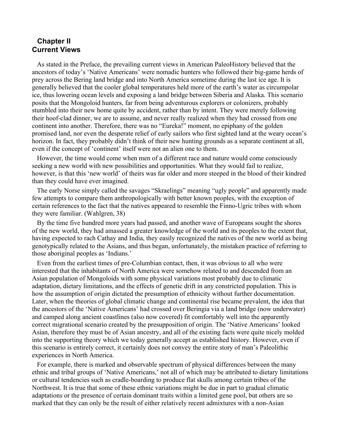# **Chapter II Current Views**

As stated in the Preface, the prevailing current views in American PaleoHistory believed that the ancestors of today's 'Native Americans' were nomadic hunters who followed their big-game herds of prey across the Bering land bridge and into North America sometime during the last ice age. It is generally believed that the cooler global temperatures held more of the earth's water as circumpolar ice, thus lowering ocean levels and exposing a land bridge between Siberia and Alaska. This scenario posits that the Mongoloid hunters, far from being adventurous explorers or colonizers, probably stumbled into their new home quite by accident, rather than by intent. They were merely following their hoof-clad dinner, we are to assume, and never really realized when they had crossed from one continent into another. Therefore, there was no "Eureka!" moment, no epiphany of the golden promised land, nor even the desperate relief of early sailors who first sighted land at the weary ocean's horizon. In fact, they probably didn't think of their new hunting grounds as a separate continent at all, even if the concept of 'continent' itself were not an alien one to them.

However, the time would come when men of a different race and nature would come consciously seeking a new world with new possibilities and opportunities. What they would fail to realize, however, is that this 'new world' of theirs was far older and more steeped in the blood of their kindred than they could have ever imagined.

The early Norse simply called the savages "Skraelings" meaning "ugly people" and apparently made few attempts to compare them anthropologically with better known peoples, with the exception of certain references to the fact that the natives appeared to resemble the Finno-Ugric tribes with whom they were familiar. (Wahlgren, 38)

By the time five hundred more years had passed, and another wave of Europeans sought the shores of the new world, they had amassed a greater knowledge of the world and its peoples to the extent that, having expected to rach Cathay and India, they easily recognized the natives of the new world as being genotypically related to the Asians, and thus began, unfortunately, the mistaken practice of referring to those aboriginal peoples as 'Indians.'

Even from the earliest times of pre-Columbian contact, then, it was obvious to all who were interested that the inhabitants of North America were somehow related to and descended from an Asian population of Mongoloids with some physical variations most probably due to climatic adaptation, dietary limitations, and the effects of genetic drift in any constricted population. This is how the assumption of origin dictated the presumption of ethnicity without further documentation. Later, when the theories of global climatic change and continental rise became prevalent, the idea that the ancestors of the 'Native Americans' had crossed over Beringia via a land bridge (now underwater) and camped along ancient coastlines (also now covered) fit comfortably well into the apparently correct migrational scenario created by the presupposition of origin. The 'Native Americans' looked Asian, therefore they must be of Asian ancestry, and all of the existing facts were quite nicely molded into the supporting theory which we today generally accept as established history. However, even if this scenario is entirely correct, it certainly does not convey the entire story of man's Paleolithic experiences in North America.

For example, there is marked and observable spectrum of physical differences between the many ethnic and tribal groups of 'Native Americans,' not all of which may be attributed to dietary limitations or cultural tendencies such as cradle-boarding to produce flat skulls among certain tribes of the Northwest. It is true that some of these ethnic variations might be due in part to gradual climatic adaptations or the presence of certain dominant traits within a limited gene pool, but others are so marked that they can only be the result of either relatively recent admixtures with a non-Asian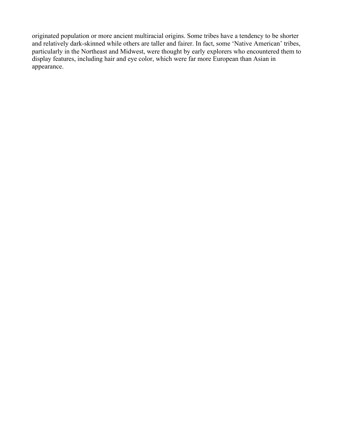originated population or more ancient multiracial origins. Some tribes have a tendency to be shorter and relatively dark-skinned while others are taller and fairer. In fact, some 'Native American' tribes, particularly in the Northeast and Midwest, were thought by early explorers who encountered them to display features, including hair and eye color, which were far more European than Asian in appearance.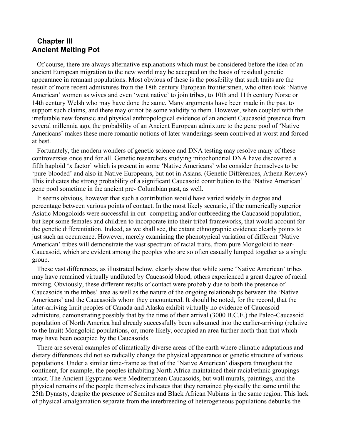# **Chapter III Ancient Melting Pot**

Of course, there are always alternative explanations which must be considered before the idea of an ancient European migration to the new world may be accepted on the basis of residual genetic appearance in remnant populations. Most obvious of these is the possibility that such traits are the result of more recent admixtures from the 18th century European frontiersmen, who often took 'Native American' women as wives and even 'went native' to join tribes, to 10th and 11th century Norse or 14th century Welsh who may have done the same. Many arguments have been made in the past to support such claims, and there may or not be some validity to them. However, when coupled with the irrefutable new forensic and physical anthropological evidence of an ancient Caucasoid presence from several millennia ago, the probability of an Ancient European admixture to the gene pool of 'Native Americans' makes these more romantic notions of later wanderings seem contrived at worst and forced at best.

Fortunately, the modern wonders of genetic science and DNA testing may resolve many of these controversies once and for all. Genetic researchers studying mitochondrial DNA have discovered a fifth haploid 'x factor' which is present in some 'Native Americans' who consider themselves to be 'pure-blooded' and also in Native Europeans, but not in Asians. (Genetic Differences, Athena Review) This indicates the strong probability of a significant Caucasoid contribution to the 'Native American' gene pool sometime in the ancient pre- Columbian past, as well.

It seems obvious, however that such a contribution would have varied widely in degree and percentage between various points of contact. In the most likely scenario, if the numerically superior Asiatic Mongoloids were successful in out- competing and/or outbreeding the Caucasoid population, but kept some females and children to incorporate into their tribal frameworks, that would account for the genetic differentiation. Indeed, as we shall see, the extant ethnographic evidence clearly points to just such an occurrence. However, merely examining the phenotypical variation of different 'Native American' tribes will demonstrate the vast spectrum of racial traits, from pure Mongoloid to near-Caucasoid, which are evident among the peoples who are so often casually lumped together as a single group.

These vast differences, as illustrated below, clearly show that while some 'Native American' tribes may have remained virtually undiluted by Caucasoid blood, others experienced a great degree of racial mixing. Obviously, these different results of contact were probably due to both the presence of Caucasoids in the tribes' area as well as the nature of the ongoing relationships between the 'Native Americans' and the Caucasoids whom they encountered. It should be noted, for the record, that the later-arriving Inuit peoples of Canada and Alaska exhibit virtually no evidence of Caucasoid admixture, demonstrating possibly that by the time of their arrival (3000 B.C.E.) the Paleo-Caucasoid population of North America had already successfully been subsumed into the earlier-arriving (relative to the Inuit) Mongoloid populations, or, more likely, occupied an area further north than that which may have been occupied by the Caucasoids.

There are several examples of climatically diverse areas of the earth where climatic adaptations and dietary differences did not so radically change the physical appearance or genetic structure of various populations. Under a similar time-frame as that of the 'Native American' diaspora throughout the continent, for example, the peoples inhabiting North Africa maintained their racial/ethnic groupings intact. The Ancient Egyptians were Mediterranean Caucasoids, but wall murals, paintings, and the physical remains of the people themselves indicates that they remained physically the same until the 25th Dynasty, despite the presence of Semites and Black African Nubians in the same region. This lack of physical amalgamation separate from the interbreeding of heterogeneous populations debunks the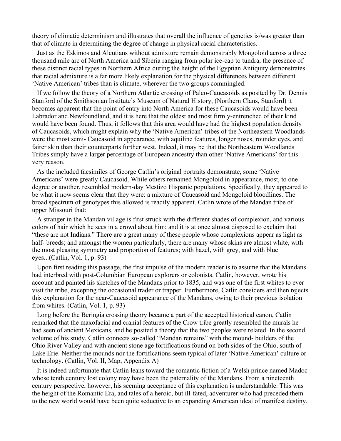theory of climatic determinism and illustrates that overall the influence of genetics is/was greater than that of climate in determining the degree of change in physical racial characteristics.

Just as the Eskimos and Aleutians without admixture remain demonstrably Mongoloid across a three thousand mile arc of North America and Siberia ranging from polar ice-cap to tundra, the presence of these distinct racial types in Northern Africa during the height of the Egyptian Antiquity demonstrates that racial admixture is a far more likely explanation for the physical differences between different 'Native American' tribes than is climate, wherever the two groups commingled.

If we follow the theory of a Northern Atlantic crossing of Paleo-Caucasoids as posited by Dr. Dennis Stanford of the Smithsonian Institute's Museum of Natural History, (Northern Clans, Stanford) it becomes apparent that the point of entry into North America for these Caucasoids would have been Labrador and Newfoundland, and it is here that the oldest and most firmly-entrenched of their kind would have been found. Thus, it follows that this area would have had the highest population density of Caucasoids, which might explain why the 'Native American' tribes of the Northeastern Woodlands were the most semi- Caucasoid in appearance, with aquiline features, longer noses, rounder eyes, and fairer skin than their counterparts further west. Indeed, it may be that the Northeastern Woodlands Tribes simply have a larger percentage of European ancestry than other 'Native Americans' for this very reason.

As the included facsimiles of George Catlin's original portraits demonstrate, some 'Native Americans' were greatly Caucasoid. While others remained Mongoloid in appearance, most, to one degree or another, resembled modern-day Mestizo Hispanic populations. Specifically, they appeared to be what it now seems clear that they were: a mixture of Caucasoid and Mongoloid bloodlines. The broad spectrum of genotypes this allowed is readily apparent. Catlin wrote of the Mandan tribe of upper Missouri that:

A stranger in the Mandan village is first struck with the different shades of complexion, and various colors of hair which he sees in a crowd about him; and it is at once almost disposed to exclaim that "these are not Indians." There are a great many of these people whose complexions appear as light as half- breeds; and amongst the women particularly, there are many whose skins are almost white, with the most pleasing symmetry and proportion of features; with hazel, with grey, and with blue eyes...(Catlin, Vol. 1, p. 93)

Upon first reading this passage, the first impulse of the modern reader is to assume that the Mandans had interbred with post-Columbian European explorers or colonists. Catlin, however, wrote his account and painted his sketches of the Mandans prior to 1835, and was one of the first whites to ever visit the tribe, excepting the occasional trader or trapper. Furthermore, Catlin considers and then rejects this explanation for the near-Caucasoid appearance of the Mandans, owing to their previous isolation from whites. (Catlin, Vol. 1, p. 93)

Long before the Beringia crossing theory became a part of the accepted historical canon, Catlin remarked that the maxofacial and cranial features of the Crow tribe greatly resembled the murals he had seen of ancient Mexicans, and he posited a theory that the two peoples were related. In the second volume of his study, Catlin connects so-called "Mandan remains" with the mound- builders of the Ohio River Valley and with ancient stone age fortifications found on both sides of the Ohio, south of Lake Erie. Neither the mounds nor the fortifications seem typical of later 'Native American' culture or technology. (Catlin, Vol. II, Map, Appendix A)

It is indeed unfortunate that Catlin leans toward the romantic fiction of a Welsh prince named Madoc whose tenth century lost colony may have been the paternality of the Mandans. From a nineteenth century perspective, however, his seeming acceptance of this explanation is understandable. This was the height of the Romantic Era, and tales of a heroic, but ill-fated, adventurer who had preceded them to the new world would have been quite seductive to an expanding American ideal of manifest destiny.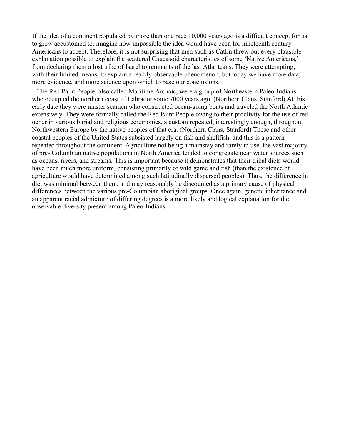If the idea of a continent populated by more than one race 10,000 years ago is a difficult concept for us to grow accustomed to, imagine how impossible the idea would have been for nineteenth century Americans to accept. Therefore, it is not surprising that men such as Catlin threw out every plausible explanation possible to explain the scattered Caucasoid characteristics of some 'Native Americans,' from declaring them a lost tribe of Isarel to remnants of the last Atlanteans. They were attempting, with their limited means, to explain a readily observable phenomenon, but today we have more data, more evidence, and more science upon which to base our conclusions.

The Red Paint People, also called Maritime Archaic, were a group of Northeastern Paleo-Indians who occupied the northern coast of Labrador some 7000 years ago. (Northern Clans, Stanford) At this early date they were master seamen who constructed ocean-going boats and traveled the North Atlantic extensively. They were formally called the Red Paint People owing to their proclivity for the use of red ocher in various burial and religious ceremonies, a custom repeated, interestingly enough, throughout Northwestern Europe by the native peoples of that era. (Northern Clans, Stanford) These and other coastal peoples of the United States subsisted largely on fish and shellfish, and this is a pattern repeated throughout the continent. Agriculture not being a mainstay and rarely in use, the vast majority of pre- Columbian native populations in North America tended to congregate near water sources such as oceans, rivers, and streams. This is important because it demonstrates that their tribal diets would have been much more uniform, consisting primarily of wild game and fish (than the existence of agriculture would have determined among such latitudinally dispersed peoples). Thus, the difference in diet was minimal between them, and may reasonably be discounted as a primary cause of physical differences between the various pre-Columbian aboriginal groups. Once again, genetic inheritance and an apparent racial admixture of differing degrees is a more likely and logical explanation for the observable diversity present among Paleo-Indians.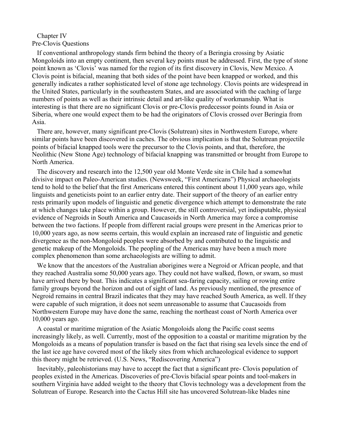### Chapter IV Pre-Clovis Questions

If conventional anthropology stands firm behind the theory of a Beringia crossing by Asiatic Mongoloids into an empty continent, then several key points must be addressed. First, the type of stone point known as 'Clovis' was named for the region of its first discovery in Clovis, New Mexico. A Clovis point is bifacial, meaning that both sides of the point have been knapped or worked, and this generally indicates a rather sophisticated level of stone age technology. Clovis points are widespread in the United States, particularly in the southeastern States, and are associated with the caching of large numbers of points as well as their intrinsic detail and art-like quality of workmanship. What is interesting is that there are no significant Clovis or pre-Clovis predecessor points found in Asia or Siberia, where one would expect them to be had the originators of Clovis crossed over Beringia from Asia.

There are, however, many significant pre-Clovis (Solutrean) sites in Northwestern Europe, where similar points have been discovered in caches. The obvious implication is that the Solutrean projectile points of bifacial knapped tools were the precursor to the Clovis points, and that, therefore, the Neolithic (New Stone Age) technology of bifacial knapping was transmitted or brought from Europe to North America.

The discovery and research into the 12,500 year old Monte Verde site in Chile had a somewhat divisive impact on Paleo-American studies. (Newsweek, "First Americans") Physical archaeologists tend to hold to the belief that the first Americans entered this continent about 11,000 years ago, while linguists and geneticists point to an earlier entry date. Their support of the theory of an earlier entry rests primarily upon models of linguistic and genetic divergence which attempt to demonstrate the rate at which changes take place within a group. However, the still controversial, yet indisputable, physical evidence of Negroids in South America and Caucasoids in North America may force a compromise between the two factions. If people from different racial groups were present in the Americas prior to 10,000 years ago, as now seems certain, this would explain an increased rate of linguistic and genetic divergence as the non-Mongoloid peoples were absorbed by and contributed to the linguistic and genetic makeup of the Mongoloids. The peopling of the Americas may have been a much more complex phenomenon than some archaeologists are willing to admit.

We know that the ancestors of the Australian aborigines were a Negroid or African people, and that they reached Australia some 50,000 years ago. They could not have walked, flown, or swam, so must have arrived there by boat. This indicates a significant sea-faring capacity, sailing or rowing entire family groups beyond the horizon and out of sight of land. As previously mentioned, the presence of Negroid remains in central Brazil indicates that they may have reached South America, as well. If they were capable of such migration, it does not seem unreasonable to assume that Caucasoids from Northwestern Europe may have done the same, reaching the northeast coast of North America over 10,000 years ago.

A coastal or maritime migration of the Asiatic Mongoloids along the Pacific coast seems increasingly likely, as well. Currently, most of the opposition to a coastal or maritime migration by the Mongoloids as a means of population transfer is based on the fact that rising sea levels since the end of the last ice age have covered most of the likely sites from which archaeological evidence to support this theory might be retrieved. (U.S. News, "Rediscovering America")

Inevitably, paleohistorians may have to accept the fact that a significant pre- Clovis population of peoples existed in the Americas. Discoveries of pre-Clovis bifacial spear points and tool-makers in southern Virginia have added weight to the theory that Clovis technology was a development from the Solutrean of Europe. Research into the Cactus Hill site has uncovered Solutrean-like blades nine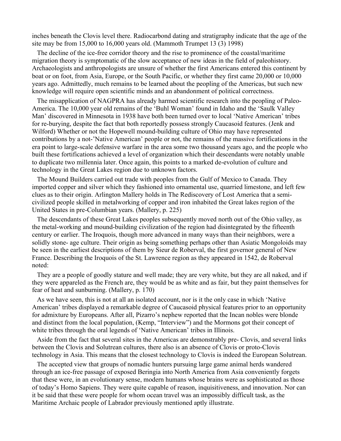inches beneath the Clovis level there. Radiocarbond dating and stratigraphy indicate that the age of the site may be from 15,000 to 16,000 years old. (Mammoth Trumpet 13 (3) 1998)

The decline of the ice-free corridor theory and the rise to prominence of the coastal/maritime migration theory is symptomatic of the slow acceptance of new ideas in the field of paleohistory. Archaeologists and anthropologists are unsure of whether the first Americans entered this continent by boat or on foot, from Asia, Europe, or the South Pacific, or whether they first came 20,000 or 10,000 years ago. Admittedly, much remains to be learned about the peopling of the Americas, but such new knowledge will require open scientific minds and an abandonment of political correctness.

The misapplication of NAGPRA has already harmed scientific research into the peopling of Paleo-America. The 10,000 year old remains of the 'Buhl Woman' found in Idaho and the 'Saulk Valley Man' discovered in Minnesota in 1938 have both been turned over to local 'Native American' tribes for re-burying, despite the fact that both reportedly possess strongly Caucasoid features. (Jenk and Wilford) Whether or not the Hopewell mound-building culture of Ohio may have represented contributions by a not-'Native American' people or not, the remains of the massive fortifications in the era point to large-scale defensive warfare in the area some two thousand years ago, and the people who built these fortifications achieved a level of organization which their descendants were notably unable to duplicate two millennia later. Once again, this points to a marked de-evolution of culture and technology in the Great Lakes region due to unknown factors.

The Mound Builders carried out trade with peoples from the Gulf of Mexico to Canada. They imported copper and silver which they fashioned into ornamental use, quarried limestone, and left few clues as to their origin. Arlington Mallery holds in The Rediscovery of Lost America that a semicivilized people skilled in metalworking of copper and iron inhabited the Great lakes region of the United States in pre-Columbian years. (Mallery, p. 225)

The descendants of these Great Lakes peoples subsequently moved north out of the Ohio valley, as the metal-working and mound-building civilization of the region had disintegrated by the fifteenth century or earlier. The Iroquois, though more advanced in many ways than their neighbors, were a solidly stone- age culture. Their origin as being something perhaps other than Asiatic Mongoloids may be seen in the earliest descriptions of them by Sieur de Roberval, the first governor general of New France. Describing the Iroquois of the St. Lawrence region as they appeared in 1542, de Roberval noted:

They are a people of goodly stature and well made; they are very white, but they are all naked, and if they were appareled as the French are, they would be as white and as fair, but they paint themselves for fear of heat and sunburning. (Mallery, p. 170)

As we have seen, this is not at all an isolated account, nor is it the only case in which 'Native American' tribes displayed a remarkable degree of Caucasoid physical features prior to an opportunity for admixture by Europeans. After all, Pizarro's nephew reported that the Incan nobles were blonde and distinct from the local population, (Kemp, "Interview") and the Mormons got their concept of white tribes through the oral legends of 'Native American' tribes in Illinois.

Aside from the fact that several sites in the Americas are demonstrably pre- Clovis, and several links between the Clovis and Solutrean cultures, there also is an absence of Clovis or proto-Clovis technology in Asia. This means that the closest technology to Clovis is indeed the European Solutrean.

The accepted view that groups of nomadic hunters pursuing large game animal herds wandered through an ice-free passage of exposed Beringia into North America from Asia conveniently forgets that these were, in an evolutionary sense, modern humans whose brains were as sophisticated as those of today's Homo Sapiens. They were quite capable of reason, inquisitiveness, and innovation. Nor can it be said that these were people for whom ocean travel was an impossibly difficult task, as the Maritime Archaic people of Labrador previously mentioned aptly illustrate.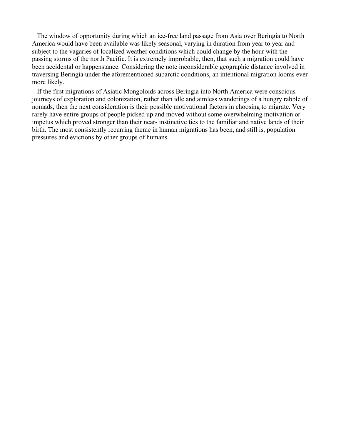The window of opportunity during which an ice-free land passage from Asia over Beringia to North America would have been available was likely seasonal, varying in duration from year to year and subject to the vagaries of localized weather conditions which could change by the hour with the passing storms of the north Pacific. It is extremely improbable, then, that such a migration could have been accidental or happenstance. Considering the note inconsiderable geographic distance involved in traversing Beringia under the aforementioned subarctic conditions, an intentional migration looms ever more likely.

If the first migrations of Asiatic Mongoloids across Beringia into North America were conscious journeys of exploration and colonization, rather than idle and aimless wanderings of a hungry rabble of nomads, then the next consideration is their possible motivational factors in choosing to migrate. Very rarely have entire groups of people picked up and moved without some overwhelming motivation or impetus which proved stronger than their near- instinctive ties to the familiar and native lands of their birth. The most consistently recurring theme in human migrations has been, and still is, population pressures and evictions by other groups of humans.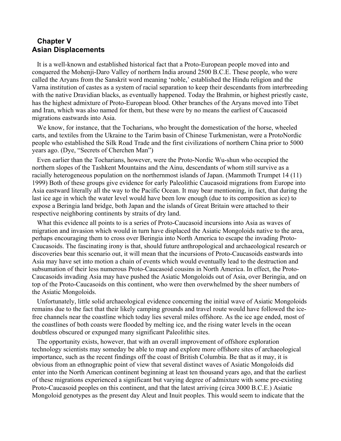# **Chapter V Asian Displacements**

It is a well-known and established historical fact that a Proto-European people moved into and conquered the Mohenji-Daro Valley of northern India around 2500 B.C.E. These people, who were called the Aryans from the Sanskrit word meaning 'noble,' established the Hindu religion and the Varna institution of castes as a system of racial separation to keep their descendants from interbreeding with the native Dravidian blacks, as eventually happened. Today the Brahmin, or highest priestly caste, has the highest admixture of Proto-European blood. Other branches of the Aryans moved into Tibet and Iran, which was also named for them, but these were by no means the earliest of Caucasoid migrations eastwards into Asia.

We know, for instance, that the Tocharians, who brought the domestication of the horse, wheeled carts, and textiles from the Ukraine to the Tarim basin of Chinese Turkmenistan, were a ProtoNordic people who established the Silk Road Trade and the first civilizations of northern China prior to 5000 years ago. (Dye, "Secrets of Cherchen Man")

Even earlier than the Tocharians, however, were the Proto-Nordic Wu-shun who occupied the northern slopes of the Tashkent Mountains and the Ainu, descendants of whom still survive as a racially heterogeneous population on the northernmost islands of Japan. (Mammoth Trumpet 14 (11) 1999) Both of these groups give evidence for early Paleolithic Caucasoid migrations from Europe into Asia eastward literally all the way to the Pacific Ocean. It may bear mentioning, in fact, that during the last ice age in which the water level would have been low enough (due to its composition as ice) to expose a Beringia land bridge, both Japan and the islands of Great Britain were attached to their respective neighboring continents by straits of dry land.

What this evidence all points to is a series of Proto-Caucasoid incursions into Asia as waves of migration and invasion which would in turn have displaced the Asiatic Mongoloids native to the area, perhaps encouraging them to cross over Beringia into North America to escape the invading Proto-Caucasoids. The fascinating irony is that, should future anthropological and archaeological research or discoveries bear this scenario out, it will mean that the incursions of Proto-Caucasoids eastwards into Asia may have set into motion a chain of events which would eventually lead to the destruction and subsumation of their less numerous Proto-Caucasoid cousins in North America. In effect, the Proto-Caucasoids invading Asia may have pushed the Asiatic Mongoloids out of Asia, over Beringia, and on top of the Proto-Caucasoids on this continent, who were then overwhelmed by the sheer numbers of the Asiatic Mongoloids.

Unfortunately, little solid archaeological evidence concerning the initial wave of Asiatic Mongoloids remains due to the fact that their likely camping grounds and travel route would have followed the icefree channels near the coastline which today lies several miles offshore. As the ice age ended, most of the coastlines of both coasts were flooded by melting ice, and the rising water levels in the ocean doubtless obscured or expunged many significant Paleolithic sites.

The opportunity exists, however, that with an overall improvement of offshore exploration technology scientists may someday be able to map and explore more offshore sites of archaeological importance, such as the recent findings off the coast of British Columbia. Be that as it may, it is obvious from an ethnographic point of view that several distinct waves of Asiatic Mongoloids did enter into the North American continent beginning at least ten thousand years ago, and that the earliest of these migrations experienced a significant but varying degree of admixture with some pre-existing Proto-Caucasoid peoples on this continent, and that the latest arriving (circa 3000 B.C.E.) Asiatic Mongoloid genotypes as the present day Aleut and Inuit peoples. This would seem to indicate that the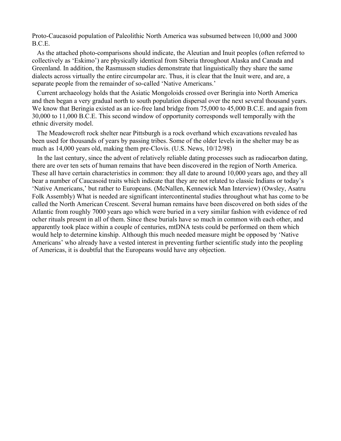Proto-Caucasoid population of Paleolithic North America was subsumed between 10,000 and 3000 B.C.E.

As the attached photo-comparisons should indicate, the Aleutian and Inuit peoples (often referred to collectively as 'Eskimo') are physically identical from Siberia throughout Alaska and Canada and Greenland. In addition, the Rasmussen studies demonstrate that linguistically they share the same dialects across virtually the entire circumpolar arc. Thus, it is clear that the Inuit were, and are, a separate people from the remainder of so-called 'Native Americans.'

Current archaeology holds that the Asiatic Mongoloids crossed over Beringia into North America and then began a very gradual north to south population dispersal over the next several thousand years. We know that Beringia existed as an ice-free land bridge from 75,000 to 45,000 B.C.E. and again from 30,000 to 11,000 B.C.E. This second window of opportunity corresponds well temporally with the ethnic diversity model.

The Meadowcroft rock shelter near Pittsburgh is a rock overhand which excavations revealed has been used for thousands of years by passing tribes. Some of the older levels in the shelter may be as much as 14,000 years old, making them pre-Clovis. (U.S. News, 10/12/98)

In the last century, since the advent of relatively reliable dating processes such as radiocarbon dating, there are over ten sets of human remains that have been discovered in the region of North America. These all have certain characteristics in common: they all date to around 10,000 years ago, and they all bear a number of Caucasoid traits which indicate that they are not related to classic Indians or today's 'Native Americans,' but rather to Europeans. (McNallen, Kennewick Man Interview) (Owsley, Asatru Folk Assembly) What is needed are significant intercontinental studies throughout what has come to be called the North American Crescent. Several human remains have been discovered on both sides of the Atlantic from roughly 7000 years ago which were buried in a very similar fashion with evidence of red ocher rituals present in all of them. Since these burials have so much in common with each other, and apparently took place within a couple of centuries, mtDNA tests could be performed on them which would help to determine kinship. Although this much needed measure might be opposed by 'Native Americans' who already have a vested interest in preventing further scientific study into the peopling of Americas, it is doubtful that the Europeans would have any objection.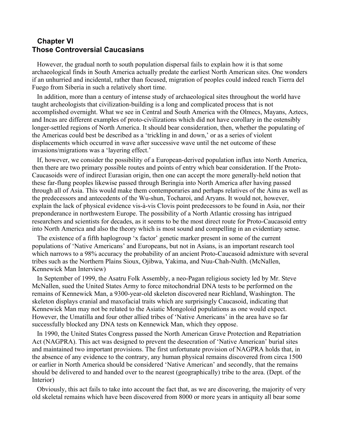# **Chapter VI Those Controversial Caucasians**

However, the gradual north to south population dispersal fails to explain how it is that some archaeological finds in South America actually predate the earliest North American sites. One wonders if an unhurried and incidental, rather than focused, migration of peoples could indeed reach Tierra del Fuego from Siberia in such a relatively short time.

In addition, more than a century of intense study of archaeological sites throughout the world have taught archeologists that civilization-building is a long and complicated process that is not accomplished overnight. What we see in Central and South America with the Olmecs, Mayans, Aztecs, and Incas are different examples of proto-civilizations which did not have corollary in the ostensibly longer-settled regions of North America. It should bear consideration, then, whether the populating of the Americas could best be described as a 'trickling in and down,' or as a series of violent displacements which occurred in wave after successive wave until the net outcome of these invasions/migrations was a 'layering effect.'

If, however, we consider the possibility of a European-derived population influx into North America, then there are two primary possible routes and points of entry which bear consideration. If the Proto-Caucasoids were of indirect Eurasian origin, then one can accept the more generally-held notion that these far-flung peoples likewise passed through Beringia into North America after having passed through all of Asia. This would make them contemporaries and perhaps relatives of the Ainu as well as the predecessors and antecedents of the Wu-shun, Tocharoi, and Aryans. It would not, however, explain the lack of physical evidence vis-à-vis Clovis point predecessors to be found in Asia, nor their preponderance in northwestern Europe. The possibility of a North Atlantic crossing has intrigued researchers and scientists for decades, as it seems to be the most direct route for Proto-Caucasoid entry into North America and also the theory which is most sound and compelling in an evidentiary sense.

The existence of a fifth haplogroup 'x factor' genetic marker present in some of the current populations of 'Native Americans' and Europeans, but not in Asians, is an important research tool which narrows to a 98% accuracy the probability of an ancient Proto-Caucasoid admixture with several tribes such as the Northern Plains Sioux, Ojibwa, Yakima, and Nuu-Chah-Nulth. (McNallen, Kennewick Man Interview)

In September of 1999, the Asatru Folk Assembly, a neo-Pagan religious society led by Mr. Steve McNallen, sued the United States Army to force mitochondrial DNA tests to be performed on the remains of Kennewick Man, a 9300-year-old skeleton discovered near Richland, Washington. The skeleton displays cranial and maxofacial traits which are surprisingly Caucasoid, indicating that Kennewick Man may not be related to the Asiatic Mongoloid populations as one would expect. However, the Umatilla and four other allied tribes of 'Native Americans' in the area have so far successfully blocked any DNA tests on Kennewick Man, which they oppose.

In 1990, the United States Congress passed the North American Grave Protection and Repatriation Act (NAGPRA). This act was designed to prevent the desecration of 'Native American' burial sites and maintained two important provisions. The first unfortunate provision of NAGPRA holds that, in the absence of any evidence to the contrary, any human physical remains discovered from circa 1500 or earlier in North America should be considered 'Native American' and secondly, that the remains should be delivered to and handed over to the nearest (geographically) tribe to the area. (Dept. of the Interior)

Obviously, this act fails to take into account the fact that, as we are discovering, the majority of very old skeletal remains which have been discovered from 8000 or more years in antiquity all bear some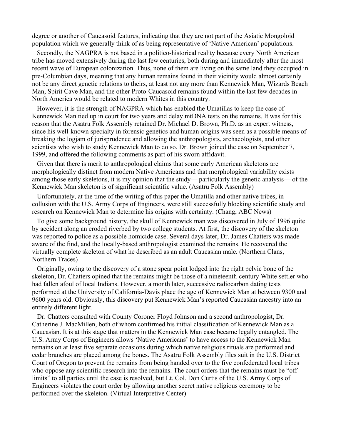degree or another of Caucasoid features, indicating that they are not part of the Asiatic Mongoloid population which we generally think of as being representative of 'Native American' populations.

Secondly, the NAGPRA is not based in a politico-historical reality because every North American tribe has moved extensively during the last few centuries, both during and immediately after the most recent wave of European colonization. Thus, none of them are living on the same land they occupied in pre-Columbian days, meaning that any human remains found in their vicinity would almost certainly not be any direct genetic relations to theirs, at least not any more than Kennewick Man, Wizards Beach Man, Spirit Cave Man, and the other Proto-Caucasoid remains found within the last few decades in North America would be related to modern Whites in this country.

However, it is the strength of NAGPRA which has enabled the Umatillas to keep the case of Kennewick Man tied up in court for two years and delay mtDNA tests on the remains. It was for this reason that the Asatru Folk Assembly retained Dr. Michael D. Brown, Ph.D. as an expert witness, since his well-known specialty in forensic genetics and human origins was seen as a possible means of breaking the logjam of jurisprudence and allowing the anthropologists, archaeologists, and other scientists who wish to study Kennewick Man to do so. Dr. Brown joined the case on September 7, 1999, and offered the following comments as part of his sworn affidavit.

Given that there is merit to anthropological claims that some early American skeletons are morphologically distinct from modern Native Americans and that morphological variability exists among those early skeletons, it is my opinion that the study— particularly the genetic analysis— of the Kennewick Man skeleton is of significant scientific value. (Asatru Folk Assembly)

Unfortunately, at the time of the writing of this paper the Umatilla and other native tribes, in collusion with the U.S. Army Corps of Engineers, were still successfully blocking scientific study and research on Kennewick Man to determine his origins with certainty. (Chang, ABC News)

To give some background history, the skull of Kennewick man was discovered in July of 1996 quite by accident along an eroded riverbed by two college students. At first, the discovery of the skeleton was reported to police as a possible homicide case. Several days later, Dr. James Chatters was made aware of the find, and the locally-based anthropologist examined the remains. He recovered the virtually complete skeleton of what he described as an adult Caucasian male. (Northern Clans, Northern Traces)

Originally, owing to the discovery of a stone spear point lodged into the right pelvic bone of the skeleton, Dr. Chatters opined that the remains might be those of a nineteenth-century White settler who had fallen afoul of local Indians. However, a month later, successive radiocarbon dating tests performed at the University of California-Davis place the age of Kennewick Man at between 9300 and 9600 years old. Obviously, this discovery put Kennewick Man's reported Caucasian ancestry into an entirely different light.

Dr. Chatters consulted with County Coroner Floyd Johnson and a second anthropologist, Dr. Catherine J. MacMillen, both of whom confirmed his initial classification of Kennewick Man as a Caucasian. It is at this stage that matters in the Kennewick Man case became legally entangled. The U.S. Army Corps of Engineers allows 'Native Americans' to have access to the Kennewick Man remains on at least five separate occasions during which native religious rituals are performed and cedar branches are placed among the bones. The Asatru Folk Assembly files suit in the U.S. District Court of Oregon to prevent the remains from being handed over to the five confederated local tribes who oppose any scientific research into the remains. The court orders that the remains must be "offlimits" to all parties until the case is resolved, but Lt. Col. Don Curtis of the U.S. Army Corps of Engineers violates the court order by allowing another secret native religious ceremony to be performed over the skeleton. (Virtual Interpretive Center)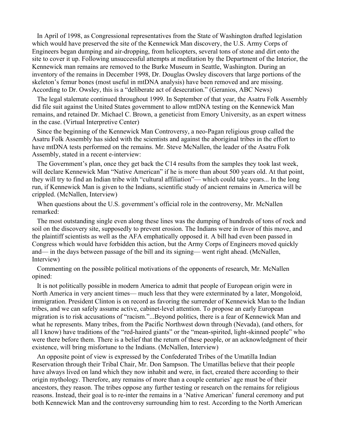In April of 1998, as Congressional representatives from the State of Washington drafted legislation which would have preserved the site of the Kennewick Man discovery, the U.S. Army Corps of Engineers began dumping and air-dropping, from helicopters, several tons of stone and dirt onto the site to cover it up. Following unsuccessful attempts at meditation by the Department of the Interior, the Kennewick man remains are removed to the Burke Museum in Seattle, Washington. During an inventory of the remains in December 1998, Dr. Douglas Owsley discovers that large portions of the skeleton's femur bones (most useful in mtDNA analysis) have been removed and are missing. According to Dr. Owsley, this is a "deliberate act of desecration." (Geranios, ABC News)

The legal stalemate continued throughout 1999. In September of that year, the Asatru Folk Assembly did file suit against the United States government to allow mtDNA testing on the Kennewick Man remains, and retained Dr. Michael C. Brown, a geneticist from Emory University, as an expert witness in the case. (Virtual Interpretive Center)

Since the beginning of the Kennewick Man Controversy, a neo-Pagan religious group called the Asatru Folk Assembly has sided with the scientists and against the aboriginal tribes in the effort to have mtDNA tests performed on the remains. Mr. Steve McNallen, the leader of the Asatru Folk Assembly, stated in a recent e-interview:

The Government's plan, once they get back the C14 results from the samples they took last week, will declare Kennewick Man "Native American" if he is more than about 500 years old. At that point, they will try to find an Indian tribe with "cultural affiliation"— which could take years... In the long run, if Kennewick Man is given to the Indians, scientific study of ancient remains in America will be crippled. (McNallen, Interview)

When questions about the U.S. government's official role in the controversy, Mr. McNallen remarked:

The most outstanding single even along these lines was the dumping of hundreds of tons of rock and soil on the discovery site, supposedly to prevent erosion. The Indians were in favor of this move, and the plaintiff scientists as well as the AFA emphatically opposed it. A bill had even been passed in Congress which would have forbidden this action, but the Army Corps of Engineers moved quickly and— in the days between passage of the bill and its signing— went right ahead. (McNallen, Interview)

Commenting on the possible political motivations of the opponents of research, Mr. McNallen opined:

It is not politically possible in modern America to admit that people of European origin were in North America in very ancient times— much less that they were exterminated by a later, Mongoloid, immigration. President Clinton is on record as favoring the surrender of Kennewick Man to the Indian tribes, and we can safely assume active, cabinet-level attention. To propose an early European migration is to risk accusations of "racism."...Beyond politics, there is a fear of Kennewick Man and what he represents. Many tribes, from the Pacific Northwest down through (Nevada), (and others, for all I know) have traditions of the "red-haired giants" or the "mean-spirited, light-skinned people" who were there before them. There is a belief that the return of these people, or an acknowledgment of their existence, will bring misfortune to the Indians. (McNallen, Interview)

An opposite point of view is expressed by the Confederated Tribes of the Umatilla Indian Reservation through their Tribal Chair, Mr. Don Sampson. The Umatillas believe that their people have always lived on land which they now inhabit and were, in fact, created there according to their origin mythology. Therefore, any remains of more than a couple centuries' age must be of their ancestors, they reason. The tribes oppose any further testing or research on the remains for religious reasons. Instead, their goal is to re-inter the remains in a 'Native American' funeral ceremony and put both Kennewick Man and the controversy surrounding him to rest. According to the North American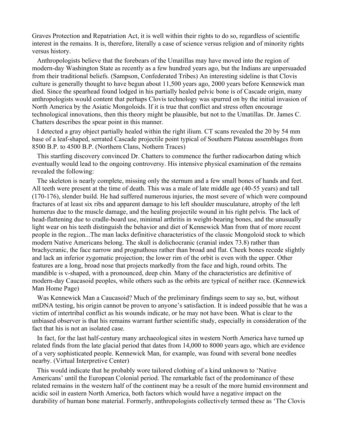Graves Protection and Repatriation Act, it is well within their rights to do so, regardless of scientific interest in the remains. It is, therefore, literally a case of science versus religion and of minority rights versus history.

Anthropologists believe that the forebears of the Umatillas may have moved into the region of modern-day Washington State as recently as a few hundred years ago, but the Indians are unpersuaded from their traditional beliefs. (Sampson, Confederated Tribes) An interesting sideline is that Clovis culture is generally thought to have begun about 11,500 years ago, 2000 years before Kennewick man died. Since the spearhead found lodged in his partially healed pelvic bone is of Cascade origin, many anthropologists would content that perhaps Clovis technology was spurred on by the initial invasion of North America by the Asiatic Mongoloids. If it is true that conflict and stress often encourage technological innovations, then this theory might be plausible, but not to the Umatillas. Dr. James C. Chatters describes the spear point in this manner.

I detected a gray object partially healed within the right ilium. CT scans revealed the 20 by 54 mm base of a leaf-shaped, serrated Cascade projectile point typical of Southern Plateau assemblages from 8500 B.P. to 4500 B.P. (Northern Clans, Nothern Traces)

This startling discovery convinced Dr. Chatters to commence the further radiocarbon dating which eventually would lead to the ongoing controversy. His intensive physical examination of the remains revealed the following:

The skeleton is nearly complete, missing only the sternum and a few small bones of hands and feet. All teeth were present at the time of death. This was a male of late middle age (40-55 years) and tall (170-176), slender build. He had suffered numerous injuries, the most severe of which were compound fractures of at least six ribs and apparent damage to his left shoulder musculature, atrophy of the left humerus due to the muscle damage, and the healing projectile wound in his right pelvis. The lack of head-flattening due to cradle-board use, minimal arthritis in weight-bearing bones, and the unusually light wear on his teeth distinguish the behavior and diet of Kennewick Man from that of more recent people in the region...The man lacks definitive characteristics of the classic Mongoloid stock to which modern Native Americans belong. The skull is dolichocranic (cranial index 73.8) rather than brachycranic, the face narrow and prognathous rather than broad and flat. Cheek bones recede slightly and lack an inferior zygomatic projection; the lower rim of the orbit is even with the upper. Other features are a long, broad nose that projects markedly from the face and high, round orbits. The mandible is v-shaped, with a pronounced, deep chin. Many of the characteristics are definitive of modern-day Caucasoid peoples, while others such as the orbits are typical of neither race. (Kennewick Man Home Page)

Was Kennewick Man a Caucasoid? Much of the preliminary findings seem to say so, but, without mtDNA testing, his origin cannot be proven to anyone's satisfaction. It is indeed possible that he was a victim of intertribal conflict as his wounds indicate, or he may not have been. What is clear to the unbiased observer is that his remains warrant further scientific study, especially in consideration of the fact that his is not an isolated case.

In fact, for the last half-century many archaeological sites in western North America have turned up related finds from the late glacial period that dates from 14,000 to 8000 years ago, which are evidence of a very sophisticated people. Kennewick Man, for example, was found with several bone needles nearby. (Virtual Interpretive Center)

This would indicate that he probably wore tailored clothing of a kind unknown to 'Native Americans' until the European Colonial period. The remarkable fact of the predominance of these related remains in the western half of the continent may be a result of the more humid environment and acidic soil in eastern North America, both factors which would have a negative impact on the durability of human bone material. Formerly, anthropologists collectively termed these as 'The Clovis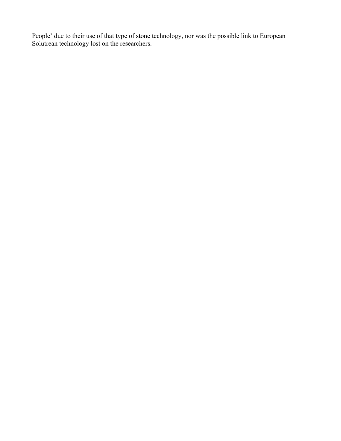People' due to their use of that type of stone technology, nor was the possible link to European Solutrean technology lost on the researchers.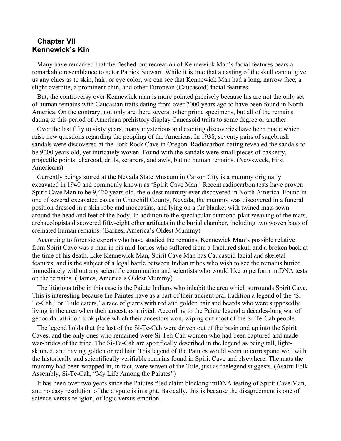# **Chapter VII Kennewick's Kin**

Many have remarked that the fleshed-out recreation of Kennewick Man's facial features bears a remarkable resemblance to actor Patrick Stewart. While it is true that a casting of the skull cannot give us any clues as to skin, hair, or eye color, we can see that Kennewick Man had a long, narrow face, a slight overbite, a prominent chin, and other European (Caucasoid) facial features.

But, the controversy over Kennewick man is more pointed precisely because his are not the only set of human remains with Caucasian traits dating from over 7000 years ago to have been found in North America. On the contrary, not only are there several other prime specimens, but all of the remains dating to this period of American prehistory display Caucasoid traits to some degree or another.

Over the last fifty to sixty years, many mysterious and exciting discoveries have been made which raise new questions regarding the peopling of the Americas. In 1938, seventy pairs of sagebrush sandals were discovered at the Fork Rock Cave in Oregon. Radiocarbon dating revealed the sandals to be 9000 years old, yet intricately woven. Found with the sandals were small pieces of basketry, projectile points, charcoal, drills, scrapers, and awls, but no human remains. (Newsweek, First Americans)

Currently beings stored at the Nevada State Museum in Carson City is a mummy originally excavated in 1940 and commonly known as 'Spirit Cave Man.' Recent radiocarbon tests have proven Spirit Cave Man to be 9,420 years old, the oldest mummy ever discovered in North America. Found in one of several excavated caves in Churchill County, Nevada, the mummy was discovered in a funeral position dressed in a skin robe and moccasins, and lying on a fur blanket with twined mats sewn around the head and feet of the body. In addition to the spectacular diamond-plait weaving of the mats, archaeologists discovered fifty-eight other artifacts in the burial chamber, including two woven bags of cremated human remains. (Barnes, America's Oldest Mummy)

According to forensic experts who have studied the remains, Kennewick Man's possible relative from Spirit Cave was a man in his mid-forties who suffered from a fractured skull and a broken back at the time of his death. Like Kennewick Man, Spirit Cave Man has Caucasoid facial and skeletal features, and is the subject of a legal battle between Indian tribes who wish to see the remains buried immediately without any scientific examination and scientists who would like to perform mtDNA tests on the remains. (Barnes, America's Oldest Mummy)

The litigious tribe in this case is the Paiute Indians who inhabit the area which surrounds Spirit Cave. This is interesting because the Paiutes have as a part of their ancient oral tradition a legend of the 'Si-Te-Cah,' or 'Tule eaters,' a race of giants with red and golden hair and beards who were supposedly living in the area when their ancestors arrived. According to the Paiute legend a decades-long war of genocidal attrition took place which their ancestors won, wiping out most of the Si-Te-Cah people.

The legend holds that the last of the Si-Te-Cah were driven out of the basin and up into the Spirit Caves, and the only ones who remained were Si-Teh-Cah women who had been captured and made war-brides of the tribe. The Si-Te-Cah are specifically described in the legend as being tall, lightskinned, and having golden or red hair. This legend of the Paiutes would seem to correspond well with the historically and scientifically verifiable remains found in Spirit Cave and elsewhere. The mats the mummy had been wrapped in, in fact, were woven of the Tule, just as thelegend suggests. (Asatru Folk Assembly, Si-Te-Cah, "My Life Among the Paiutes")

It has been over two years since the Paiutes filed claim blocking mtDNA testing of Spirit Cave Man, and no easy resolution of the dispute is in sight. Basically, this is because the disagreement is one of science versus religion, of logic versus emotion.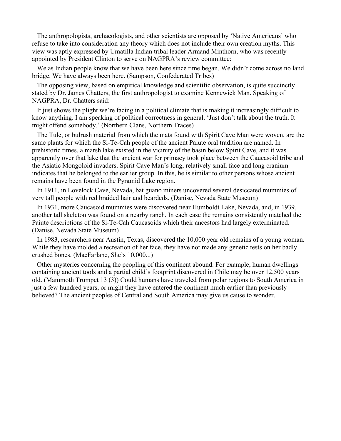The anthropologists, archaeologists, and other scientists are opposed by 'Native Americans' who refuse to take into consideration any theory which does not include their own creation myths. This view was aptly expressed by Umatilla Indian tribal leader Armand Minthorn, who was recently appointed by President Clinton to serve on NAGPRA's review committee:

We as Indian people know that we have been here since time began. We didn't come across no land bridge. We have always been here. (Sampson, Confederated Tribes)

The opposing view, based on empirical knowledge and scientific observation, is quite succinctly stated by Dr. James Chatters, the first anthropologist to examine Kennewick Man. Speaking of NAGPRA, Dr. Chatters said:

It just shows the plight we're facing in a political climate that is making it increasingly difficult to know anything. I am speaking of political correctness in general. 'Just don't talk about the truth. It might offend somebody.' (Northern Clans, Northern Traces)

The Tule, or bulrush material from which the mats found with Spirit Cave Man were woven, are the same plants for which the Si-Te-Cah people of the ancient Paiute oral tradition are named. In prehistoric times, a marsh lake existed in the vicinity of the basin below Spirit Cave, and it was apparently over that lake that the ancient war for primacy took place between the Caucasoid tribe and the Asiatic Mongoloid invaders. Spirit Cave Man's long, relatively small face and long cranium indicates that he belonged to the earlier group. In this, he is similar to other persons whose ancient remains have been found in the Pyramid Lake region.

In 1911, in Lovelock Cave, Nevada, bat guano miners uncovered several desiccated mummies of very tall people with red braided hair and beardeds. (Danise, Nevada State Museum)

In 1931, more Caucasoid mummies were discovered near Humboldt Lake, Nevada, and, in 1939, another tall skeleton was found on a nearby ranch. In each case the remains consistently matched the Paiute descriptions of the Si-Te-Cah Caucasoids which their ancestors had largely exterminated. (Danise, Nevada State Museum)

In 1983, researchers near Austin, Texas, discovered the 10,000 year old remains of a young woman. While they have molded a recreation of her face, they have not made any genetic tests on her badly crushed bones. (MacFarlane, She's 10,000...)

Other mysteries concerning the peopling of this continent abound. For example, human dwellings containing ancient tools and a partial child's footprint discovered in Chile may be over 12,500 years old. (Mammoth Trumpet 13 (3)) Could humans have traveled from polar regions to South America in just a few hundred years, or might they have entered the continent much earlier than previously believed? The ancient peoples of Central and South America may give us cause to wonder.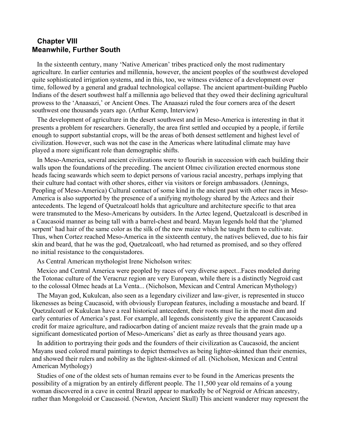### **Chapter VIII Meanwhile, Further South**

In the sixteenth century, many 'Native American' tribes practiced only the most rudimentary agriculture. In earlier centuries and millennia, however, the ancient peoples of the southwest developed quite sophisticated irrigation systems, and in this, too, we witness evidence of a development over time, followed by a general and gradual technological collapse. The ancient apartment-building Pueblo Indians of the desert southwest half a millennia ago believed that they owed their declining agricultural prowess to the 'Anaasazi,' or Ancient Ones. The Anaasazi ruled the four corners area of the desert southwest one thousands years ago. (Arthur Kemp, Interview)

The development of agriculture in the desert southwest and in Meso-America is interesting in that it presents a problem for researchers. Generally, the area first settled and occupied by a people, if fertile enough to support substantial crops, will be the areas of both densest settlement and highest level of civilization. However, such was not the case in the Americas where latitudinal climate may have played a more significant role than demographic shifts.

In Meso-America, several ancient civilizations were to flourish in succession with each building their walls upon the foundations of the preceding. The ancient Olmec civilization erected enormous stone heads facing seawards which seem to depict persons of various racial ancestry, perhaps implying that their culture had contact with other shores, either via visitors or foreign ambassadors. (Jennings, Peopling of Meso-America) Cultural contact of some kind in the ancient past with other races in Meso-America is also supported by the presence of a unifying mythology shared by the Aztecs and their antecedents. The legend of Quetzalcoatl holds that agriculture and architecture specific to that area were transmuted to the Meso-Americans by outsiders. In the Aztec legend, Quetzalcoatl is described in a Caucasoid manner as being tall with a barrel-chest and beard. Mayan legends hold that the 'plumed serpent' had hair of the same color as the silk of the new maize which he taught them to cultivate. Thus, when Cortez reached Meso-America in the sixteenth century, the natives believed, due to his fair skin and beard, that he was the god, Quetzalcoatl, who had returned as promised, and so they offered no initial resistance to the conquistadores.

As Central American mythologist Irene Nicholson writes:

Mexico and Central America were peopled by races of very diverse aspect...Faces modeled during the Totonac culture of the Veracruz region are very European, while there is a distinctly Negroid cast to the colossal Olmec heads at La Venta... (Nicholson, Mexican and Central American Mythology)

The Mayan god, Kukulcan, also seen as a legendary civilizer and law-giver, is represented in stucco likenesses as being Caucasoid, with obviously European features, including a moustache and beard. If Quetzalcoatl or Kukulcan have a real historical antecedent, their roots must lie in the most dim and early centuries of America's past. For example, all legends consistently give the apparent Caucasoids credit for maize agriculture, and radiocarbon dating of ancient maize reveals that the grain made up a significant domesticated portion of Meso-Americans' diet as early as three thousand years ago.

In addition to portraying their gods and the founders of their civilization as Caucasoid, the ancient Mayans used colored mural paintings to depict themselves as being lighter-skinned than their enemies, and showed their rulers and nobility as the lightest-skinned of all. (Nicholson, Mexican and Central American Mythology)

Studies of one of the oldest sets of human remains ever to be found in the Americas presents the possibility of a migration by an entirely different people. The 11,500 year old remains of a young woman discovered in a cave in central Brazil appear to markedly be of Negroid or African ancestry, rather than Mongoloid or Caucasoid. (Newton, Ancient Skull) This ancient wanderer may represent the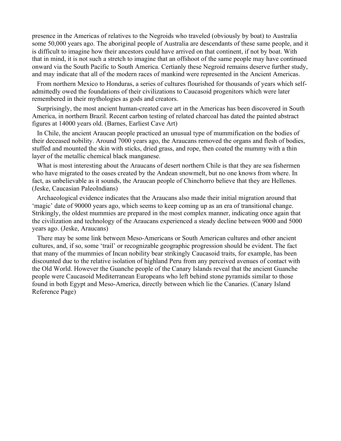presence in the Americas of relatives to the Negroids who traveled (obviously by boat) to Australia some 50,000 years ago. The aboriginal people of Australia are descendants of these same people, and it is difficult to imagine how their ancestors could have arrived on that continent, if not by boat. With that in mind, it is not such a stretch to imagine that an offshoot of the same people may have continued onward via the South Pacific to South America. Certianly these Negroid remains deserve further study, and may indicate that all of the modern races of mankind were represented in the Ancient Americas.

From northern Mexico to Honduras, a series of cultures flourished for thousands of years which selfadmittedly owed the foundations of their civilizations to Caucasoid progenitors which were later remembered in their mythologies as gods and creators.

Surprisingly, the most ancient human-created cave art in the Americas has been discovered in South America, in northern Brazil. Recent carbon testing of related charcoal has dated the painted abstract figures at 14000 years old. (Barnes, Earliest Cave Art)

In Chile, the ancient Araucan people practiced an unusual type of mummification on the bodies of their deceased nobility. Around 7000 years ago, the Araucans removed the organs and flesh of bodies, stuffed and mounted the skin with sticks, dried grass, and rope, then coated the mummy with a thin layer of the metallic chemical black manganese.

What is most interesting about the Araucans of desert northern Chile is that they are sea fishermen who have migrated to the oases created by the Andean snowmelt, but no one knows from where. In fact, as unbelievable as it sounds, the Araucan people of Chinchorro believe that they are Hellenes. (Jeske, Caucasian PaleoIndians)

Archaeological evidence indicates that the Araucans also made their initial migration around that 'magic' date of 90000 years ago, which seems to keep coming up as an era of transitional change. Strikingly, the oldest mummies are prepared in the most complex manner, indicating once again that the civilization and technology of the Araucans experienced a steady decline between 9000 and 5000 years ago. (Jeske, Araucans)

There may be some link between Meso-Americans or South American cultures and other ancient cultures, and, if so, some 'trail' or recognizable geographic progression should be evident. The fact that many of the mummies of Incan nobility bear strikingly Caucasoid traits, for example, has been discounted due to the relative isolation of highland Peru from any perceived avenues of contact with the Old World. However the Guanche people of the Canary Islands reveal that the ancient Guanche people were Caucasoid Mediterranean Europeans who left behind stone pyramids similar to those found in both Egypt and Meso-America, directly between which lie the Canaries. (Canary Island Reference Page)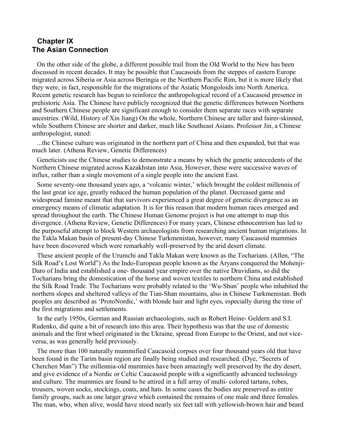# **Chapter IX The Asian Connection**

On the other side of the globe, a different possible trail from the Old World to the New has been discussed in recent decades. It may be possible that Caucasoids from the steppes of eastern Europe migrated across Siberia or Asia across Beringia or the Northern Pacific Rim, but it is more likely that they were, in fact, responsible for the migrations of the Asiatic Mongoloids into North America. Recent genetic research has begun to reinforce the anthropological record of a Caucasoid presence in prehistoric Asia. The Chinese have publicly recognized that the genetic differences between Northern and Southern Chinese people are significant enough to consider them separate races with separate ancestries. (Wild, History of Xin Jiang) On the whole, Northern Chinese are taller and fairer-skinned, while Southern Chinese are shorter and darker, much like Southeast Asians. Professor Jin, a Chinese anthropologist, stated:

...the Chinese culture was originated in the northern part of China and then expanded, but that was much later. (Athena Review, Genetic Differences)

Geneticists use the Chinese studies to demonstrate a means by which the genetic antecedents of the Northern Chinese migrated across Kazakhstan into Asia. However, these were successive waves of influx, rather than a single movement of a single people into the ancient East.

Some seventy-one thousand years ago, a 'volcanic winter,' which brought the coldest millennia of the last great ice age, greatly reduced the human population of the planet. Decreased game and widespread famine meant that that survivors experienced a great degree of genetic divergence as an emergency means of climatic adaptation. It is for this reason that modern human races emerged and spread throughout the earth. The Chinese Human Genome project is but one attempt to map this divergence. (Athena Review, Genetic Differences) For many years, Chinese ethnocentrism has led to the purposeful attempt to block Western archaeologists from researching ancient human migrations. In the Takla Makan basin of present-day Chinese Turkmenistan, however, many Caucasoid mummies have been discovered which were remarkably well-preserved by the arid desert climate.

These ancient people of the Urumchi and Takla Makan were known as the Tocharians. (Allen, "The Silk Road's Lost World") As the Indo-European people known as the Aryans conquered the Mohenji-Daro of India and established a one- thousand year empire over the native Dravidians, so did the Tocharians bring the domestication of the horse and woven textiles to northern China and established the Silk Road Trade. The Tocharians were probably related to the 'Wu-Shun' people who inhabited the northern slopes and sheltered valleys of the Tian-Shan mountains, also in Chinese Turkmenistan. Both peoples are described as 'ProtoNordic,' with blonde hair and light eyes, especially during the time of the first migrations and settlements.

In the early 1950s, German and Russian archaeologists, such as Robert Heine- Geldern and S.I. Rudenko, did quite a bit of research into this area. Their hypothesis was that the use of domestic animals and the first wheel originated in the Ukraine, spread from Europe to the Orient, and not viceversa, as was generally held previously.

The more than 100 naturally mummified Caucasoid corpses over four thousand years old that have been found in the Tarim basin region are finally being studied and researched. (Dye, "Secrets of Cherchen Man") The millennia-old mummies have been amazingly well preserved by the dry desert, and give evidence of a Nordic or Celtic Caucasoid people with a significantly advanced technology and culture. The mummies are found to be attired in a full array of multi- colored tartans, robes, trousers, woven socks, stockings, coats, and hats. In some cases the bodies are preserved as entire family groups, such as one larger grave which contained the remains of one male and three females. The man, who, when alive, would have stood nearly six feet tall with yellowish-brown hair and beard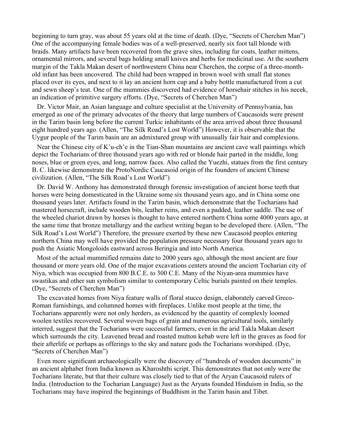beginning to turn gray, was about 55 years old at the time of death. (Dye, "Secrets of Cherchen Man") One of the accompanying female bodies was of a well-preserved, nearly six foot tall blonde with braids. Many artifacts have been recovered from the grave sites, including fur coats, leather mittens, ornamental mirrors, and several bags holding small knives and herbs for medicinal use. At the southern margin of the Takla Makan desert of northwestern China near Cherchen, the corpse of a three-monthold infant has been uncovered. The child had been wrapped in brown wool with small flat stones placed over its eyes, and next to it lay an ancient horn cup and a baby bottle manufactured from a cut and sewn sheep's teat. One of the mummies discovered had evidence of horsehair stitches in his necek, an indication of primitive surgery efforts. (Dye, "Secrets of Cherchen Man")

Dr. Victor Mair, an Asian language and culture specialist at the University of Pennsylvania, has emerged as one of the primary advocates of the theory that large numbers of Caucasoids were present in the Tarim basin long before the current Turkic inhabitants of the area arrived about three thousand eight hundred years ago. (Allen, "The Silk Road's Lost World") However, it is observable that the Uygur people of the Tarim basin are an admixtured group with unusually fair hair and complexions.

Near the Chinese city of K'u-ch'e in the Tian-Shan mountains are ancient cave wall paintings which depict the Tocharians of three thousand years ago with red or blonde hair parted in the middle, long noses, blue or green eyes, and long, narrow faces. Also called the Yuezhi, statues from the first century B. C. likewise demonstrate the ProtoNordic Caucasoid origin of the founders of ancient Chinese civilization. (Allen, "The Silk Road's Lost World")

Dr. David W. Anthony has demonstrated through forensic investigation of ancient horse teeth that horses were being domesticated in the Ukraine some six thousand years ago, and in China some one thousand years later. Artifacts found in the Tarim basin, which demonstrate that the Tocharians had mastered horsecraft, include wooden bits, leather reins, and even a padded, leather saddle. The use of the wheeled chariot drawn by horses is thought to have entered northern China some 4000 years ago, at the same time that bronze metallurgy and the earliest writing began to be developed there. (Allen, "The Silk Road's Lost World") Therefore, the pressure exerted by these new Caucasoid peoples entering northern China may well have provided the population pressure necessary four thousand years ago to push the Asiatic Mongoloids eastward across Beringia and into North America.

Most of the actual mummified remains date to 2000 years ago, although the most ancient are four thousand or more years old. One of the major excavations centers around the ancient Tocharian city of Niya, which was occupied from 800 B.C.E. to 300 C.E. Many of the Niyan-area mummies have swastikas and other sun symbolism similar to contemporary Celtic burials painted on their temples. (Dye, "Secrets of Cherchen Man")

The excavated homes from Niya feature walls of floral stucco design, elaborately carved Greco-Roman furnishings, and columned homes with fireplaces. Unlike most people at the time, the Tocharians apparently were not only herders, as evidenced by the quantity of complexly loomed woolen textiles recovered. Several woven bags of grain and numerous agricultural tools, similarly interred, suggest that the Tocharians were successful farmers, even in the arid Takla Makan desert which surrounds the city. Leavened bread and roasted mutton kebab were left in the graves as food for their afterlife or perhaps as offerings to the sky and nature gods the Tocharians worshiped. (Dye, "Secrets of Cherchen Man")

Even more significant archaeologically were the discovery of "hundreds of wooden documents" in an ancient alphabet from India known as Kharoshthi script. This demonstrates that not only were the Tocharians literate, but that their culture was closely tied to that of the Aryan Caucasoid rulers of India. (Introduction to the Tocharian Language) Just as the Aryans founded Hinduism in India, so the Tocharians may have inspired the beginnings of Buddhism in the Tarim basin and Tibet.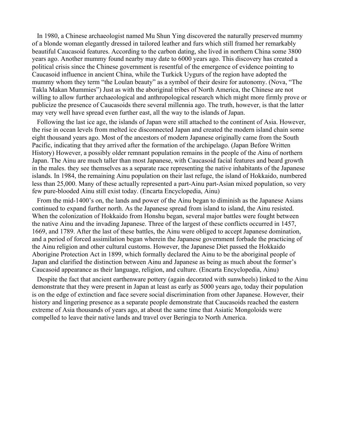In 1980, a Chinese archaeologist named Mu Shun Ying discovered the naturally preserved mummy of a blonde woman elegantly dressed in tailored leather and furs which still framed her remarkably beautiful Caucasoid features. According to the carbon dating, she lived in northern China some 3800 years ago. Another mummy found nearby may date to 6000 years ago. This discovery has created a political crisis since the Chinese government is resentful of the emergence of evidence pointing to Caucasoid influence in ancient China, while the Turkick Uygurs of the region have adopted the mummy whom they term "the Loulan beauty" as a symbol of their desire for autonomy. (Nova, "The Takla Makan Mummies") Just as with the aboriginal tribes of North America, the Chinese are not willing to allow further archaeological and anthropological research which might more firmly prove or publicize the presence of Caucasoids there several millennia ago. The truth, however, is that the latter may very well have spread even further east, all the way to the islands of Japan.

Following the last ice age, the islands of Japan were still attached to the continent of Asia. However, the rise in ocean levels from melted ice disconnected Japan and created the modern island chain some eight thousand years ago. Most of the ancestors of modern Japanese originally came from the South Pacific, indicating that they arrived after the formation of the archipelago. (Japan Before Written History) However, a possibly older remnant population remains in the people of the Ainu of northern Japan. The Ainu are much taller than most Japanese, with Caucasoid facial features and beard growth in the males. they see themselves as a separate race representing the native inhabitants of the Japanese islands. In 1984, the remaining Ainu population on their last refuge, the island of Hokkaido, numbered less than 25,000. Many of these actually represented a part-Ainu part-Asian mixed population, so very few pure-blooded Ainu still exist today. (Encarta Encyclopedia, Ainu)

From the mid-1400's on, the lands and power of the Ainu began to diminish as the Japanese Asians continued to expand further north. As the Japanese spread from island to island, the Ainu resisted. When the colonization of Hokkaido from Honshu began, several major battles were fought between the native Ainu and the invading Japanese. Three of the largest of these conflicts occurred in 1457, 1669, and 1789. After the last of these battles, the Ainu were obliged to accept Japanese domination, and a period of forced assimilation began wherein the Japanese government forbade the practicing of the Ainu religion and other cultural customs. However, the Japanese Diet passed the Hokkaido Aborigine Protection Act in 1899, which formally declared the Ainu to be the aboriginal people of Japan and clarified the distinction between Ainu and Japanese as being as much about the former's Caucasoid appearance as their language, religion, and culture. (Encarta Encyclopedia, Ainu)

Despite the fact that ancient earthenware pottery (again decorated with sunwheels) linked to the Ainu demonstrate that they were present in Japan at least as early as 5000 years ago, today their population is on the edge of extinction and face severe social discrimination from other Japanese. However, their history and lingering presence as a separate people demonstrate that Caucasoids reached the eastern extreme of Asia thousands of years ago, at about the same time that Asiatic Mongoloids were compelled to leave their native lands and travel over Beringia to North America.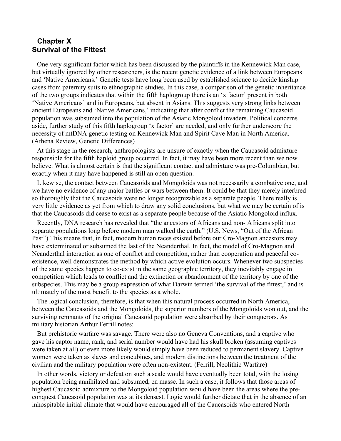# **Chapter X Survival of the Fittest**

One very significant factor which has been discussed by the plaintiffs in the Kennewick Man case, but virtually ignored by other researchers, is the recent genetic evidence of a link between Europeans and 'Native Americans.' Genetic tests have long been used by established science to decide kinship cases from paternity suits to ethnographic studies. In this case, a comparison of the genetic inheritance of the two groups indicates that within the fifth haplogroup there is an 'x factor' present in both 'Native Americans' and in Europeans, but absent in Asians. This suggests very strong links between ancient Europeans and 'Native Americans,' indicating that after conflict the remaining Caucasoid population was subsumed into the population of the Asiatic Mongoloid invaders. Political concerns aside, further study of this fifth haplogroup 'x factor' are needed, and only further underscore the necessity of mtDNA genetic testing on Kennewick Man and Spirit Cave Man in North America. (Athena Review, Genetic Differences)

At this stage in the research, anthropologists are unsure of exactly when the Caucasoid admixture responsible for the fifth haploid group occurred. In fact, it may have been more recent than we now believe. What is almost certain is that the significant contact and admixture was pre-Columbian, but exactly when it may have happened is still an open question.

Likewise, the contact between Caucasoids and Mongoloids was not necessarily a combative one, and we have no evidence of any major battles or wars between them. It could be that they merely interbred so thoroughly that the Caucasoids were no longer recognizable as a separate people. There really is very little evidence as yet from which to draw any solid conclusions, but what we may be certain of is that the Caucasoids did cease to exist as a separate people because of the Asiatic Mongoloid influx.

Recently, DNA research has revealed that "the ancestors of Africans and non- Africans split into separate populations long before modern man walked the earth." (U.S. News, "Out of the African Past") This means that, in fact, modern human races existed before our Cro-Magnon ancestors may have exterminated or subsumed the last of the Neanderthal. In fact, the model of Cro-Magnon and Neanderthal interaction as one of conflict and competition, rather than cooperation and peaceful coexistence, well demonstrates the method by which active evolution occurs. Whenever two subspecies of the same species happen to co-exist in the same geographic territory, they inevitably engage in competition which leads to conflict and the extinction or abandonment of the territory by one of the subspecies. This may be a group expression of what Darwin termed 'the survival of the fittest,' and is ultimately of the most benefit to the species as a whole.

The logical conclusion, therefore, is that when this natural process occurred in North America, between the Caucasoids and the Mongoloids, the superior numbers of the Mongoloids won out, and the surviving remnants of the original Caucasoid population were absorbed by their conquerors. As military historian Arthur Ferrill notes:

But prehistoric warfare was savage. There were also no Geneva Conventions, and a captive who gave his captor name, rank, and serial number would have had his skull broken (assuming captives were taken at all) or even more likely would simply have been reduced to permanent slavery. Captive women were taken as slaves and concubines, and modern distinctions between the treatment of the civilian and the military population were often non-existent. (Ferrill, Neolithic Warfare)

In other words, victory or defeat on such a scale would have eventually been total, with the losing population being annihilated and subsumed, en masse. In such a case, it follows that those areas of highest Caucasoid admixture to the Mongoloid population would have been the areas where the preconquest Caucasoid population was at its densest. Logic would further dictate that in the absence of an inhospitable initial climate that would have encouraged all of the Caucasoids who entered North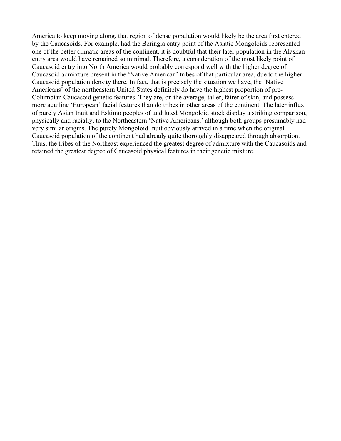America to keep moving along, that region of dense population would likely be the area first entered by the Caucasoids. For example, had the Beringia entry point of the Asiatic Mongoloids represented one of the better climatic areas of the continent, it is doubtful that their later population in the Alaskan entry area would have remained so minimal. Therefore, a consideration of the most likely point of Caucasoid entry into North America would probably correspond well with the higher degree of Caucasoid admixture present in the 'Native American' tribes of that particular area, due to the higher Caucasoid population density there. In fact, that is precisely the situation we have, the 'Native Americans' of the northeastern United States definitely do have the highest proportion of pre-Columbian Caucasoid genetic features. They are, on the average, taller, fairer of skin, and possess more aquiline 'European' facial features than do tribes in other areas of the continent. The later influx of purely Asian Inuit and Eskimo peoples of undiluted Mongoloid stock display a striking comparison, physically and racially, to the Northeastern 'Native Americans,' although both groups presumably had very similar origins. The purely Mongoloid Inuit obviously arrived in a time when the original Caucasoid population of the continent had already quite thoroughly disappeared through absorption. Thus, the tribes of the Northeast experienced the greatest degree of admixture with the Caucasoids and retained the greatest degree of Caucasoid physical features in their genetic mixture.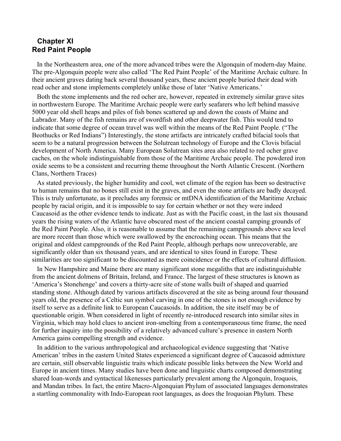# **Chapter XI Red Paint People**

In the Northeastern area, one of the more advanced tribes were the Algonquin of modern-day Maine. The pre-Algonquin people were also called 'The Red Paint People' of the Maritime Archaic culture. In their ancient graves dating back several thousand years, these ancient people buried their dead with read ocher and stone implements completely unlike those of later 'Native Americans.'

Both the stone implements and the red ocher are, however, repeated in extremely similar grave sites in northwestern Europe. The Maritime Archaic people were early seafarers who left behind massive 5000 year old shell heaps and piles of fish bones scattered up and down the coasts of Maine and Labrador. Many of the fish remains are of swordfish and other deepwater fish. This would tend to indicate that some degree of ocean travel was well within the means of the Red Paint People. ("The Beothucks or Red Indians") Interestingly, the stone artifacts are intricately crafted bifacial tools that seem to be a natural progression between the Solutrean technology of Europe and the Clovis bifacial development of North America. Many European Solutrean sites area also related to red ocher grave caches, on the whole indistinguishable from those of the Maritime Archaic people. The powdered iron oxide seems to be a consistent and recurring theme throughout the North Atlantic Crescent. (Northern Clans, Northern Traces)

As stated previously, the higher humidity and cool, wet climate of the region has been so destructive to human remains that no bones still exist in the graves, and even the stone artifacts are badly decayed. This is truly unfortunate, as it precludes any forensic or mtDNA identification of the Maritime Archaic people by racial origin, and it is impossible to say for certain whether or not they were indeed Caucasoid as the other evidence tends to indicate. Just as with the Pacific coast, in the last six thousand years the rising waters of the Atlantic have obscured most of the ancient coastal camping grounds of the Red Paint People. Also, it is reasonable to assume that the remaining campgrounds above sea level are more recent than those which were swallowed by the encroaching ocean. This means that the original and oldest campgrounds of the Red Paint People, although perhaps now unrecoverable, are significantly older than six thousand years, and are identical to sites found in Europe. These similarities are too significant to be discounted as mere coincidence or the effects of cultural diffusion.

In New Hampshire and Maine there are many significant stone megaliths that are indistinguishable from the ancient dolmens of Britain, Ireland, and France. The largest of these structures is known as 'America's Stonehenge' and covers a thirty-acre site of stone walls built of shaped and quarried standing stone. Although dated by various artifacts discovered at the site as being around four thousand years old, the presence of a Celtic sun symbol carving in one of the stones is not enough evidence by itself to serve as a definite link to European Caucasoids. In addition, the site itself may be of questionable origin. When considered in light of recently re-introduced research into similar sites in Virginia, which may hold clues to ancient iron-smelting from a contemporaneous time frame, the need for further inquiry into the possibility of a relatively advanced culture's presence in eastern North America gains compelling strength and evidence.

In addition to the various anthropological and archaeological evidence suggesting that 'Native American' tribes in the eastern United States experienced a significant degree of Caucasoid admixture are certain, still observable linguistic traits which indicate possible links between the New World and Europe in ancient times. Many studies have been done and linguistic charts composed demonstrating shared loan-words and syntactical likenesses particularly prevalent among the Algonquin, Iroquois, and Mandan tribes. In fact, the entire Macro-Algonquian Phylum of associated languages demonstrates a startling commonality with Indo-European root languages, as does the Iroquoian Phylum. These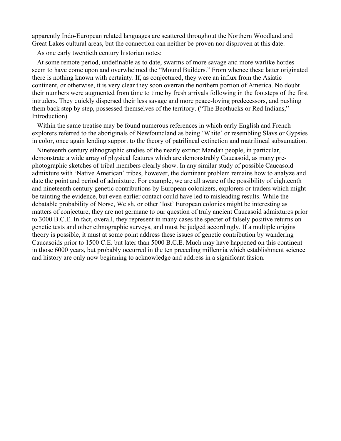apparently Indo-European related languages are scattered throughout the Northern Woodland and Great Lakes cultural areas, but the connection can neither be proven nor disproven at this date.

As one early twentieth century historian notes:

At some remote period, undefinable as to date, swarms of more savage and more warlike hordes seem to have come upon and overwhelmed the "Mound Builders." From whence these latter originated there is nothing known with certainty. If, as conjectured, they were an influx from the Asiatic continent, or otherwise, it is very clear they soon overran the northern portion of America. No doubt their numbers were augmented from time to time by fresh arrivals following in the footsteps of the first intruders. They quickly dispersed their less savage and more peace-loving predecessors, and pushing them back step by step, possessed themselves of the territory. ("The Beothucks or Red Indians," Introduction)

Within the same treatise may be found numerous references in which early English and French explorers referred to the aboriginals of Newfoundland as being 'White' or resembling Slavs or Gypsies in color, once again lending support to the theory of patrilineal extinction and matrilineal subsumation.

Nineteenth century ethnographic studies of the nearly extinct Mandan people, in particular, demonstrate a wide array of physical features which are demonstrably Caucasoid, as many prephotographic sketches of tribal members clearly show. In any similar study of possible Caucasoid admixture with 'Native American' tribes, however, the dominant problem remains how to analyze and date the point and period of admixture. For example, we are all aware of the possibility of eighteenth and nineteenth century genetic contributions by European colonizers, explorers or traders which might be tainting the evidence, but even earlier contact could have led to misleading results. While the debatable probability of Norse, Welsh, or other 'lost' European colonies might be interesting as matters of conjecture, they are not germane to our question of truly ancient Caucasoid admixtures prior to 3000 B.C.E. In fact, overall, they represent in many cases the specter of falsely positive returns on genetic tests and other ethnographic surveys, and must be judged accordingly. If a multiple origins theory is possible, it must at some point address these issues of genetic contribution by wandering Caucasoids prior to 1500 C.E. but later than 5000 B.C.E. Much may have happened on this continent in those 6000 years, but probably occurred in the ten preceding millennia which establishment science and history are only now beginning to acknowledge and address in a significant fasion.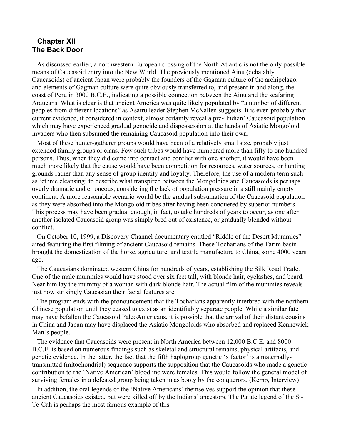# **Chapter XII The Back Door**

As discussed earlier, a northwestern European crossing of the North Atlantic is not the only possible means of Caucasoid entry into the New World. The previously mentioned Ainu (debatably Caucasoids) of ancient Japan were probably the founders of the Gagman culture of the archipelago, and elements of Gagman culture were quite obviously transferred to, and present in and along, the coast of Peru in 3000 B.C.E., indicating a possible connection between the Ainu and the seafaring Araucans. What is clear is that ancient America was quite likely populated by "a number of different peoples from different locations" as Asatru leader Stephen McNallen suggests. It is even probably that current evidence, if considered in context, almost certainly reveal a pre-'Indian' Caucasoid population which may have experienced gradual genocide and dispossession at the hands of Asiatic Mongoloid invaders who then subsumed the remaining Caucasoid population into their own.

Most of these hunter-gatherer groups would have been of a relatively small size, probably just extended family groups or clans. Few such tribes would have numbered more than fifty to one hundred persons. Thus, when they did come into contact and conflict with one another, it would have been much more likely that the cause would have been competition for resources, water sources, or hunting grounds rather than any sense of group identity and loyalty. Therefore, the use of a modern term such as 'ethnic cleansing' to describe what transpired between the Mongoloids and Caucasoids is perhaps overly dramatic and erroneous, considering the lack of population pressure in a still mainly empty continent. A more reasonable scenario would be the gradual subsumation of the Caucasoid population as they were absorbed into the Mongoloid tribes after having been conquered by superior numbers. This process may have been gradual enough, in fact, to take hundreds of years to occur, as one after another isolated Caucasoid group was simply bred out of existence, or gradually blended without conflict.

On October 10, 1999, a Discovery Channel documentary entitled "Riddle of the Desert Mummies" aired featuring the first filming of ancient Caucasoid remains. These Tocharians of the Tarim basin brought the domestication of the horse, agriculture, and textile manufacture to China, some 4000 years ago.

The Caucasians dominated western China for hundreds of years, establishing the Silk Road Trade. One of the male mummies would have stood over six feet tall, with blonde hair, eyelashes, and beard. Near him lay the mummy of a woman with dark blonde hair. The actual film of the mummies reveals just how strikingly Caucasian their facial features are.

The program ends with the pronouncement that the Tocharians apparently interbred with the northern Chinese population until they ceased to exist as an identifiably separate people. While a similar fate may have befallen the Caucasoid PaleoAmericans, it is possible that the arrival of their distant cousins in China and Japan may have displaced the Asiatic Mongoloids who absorbed and replaced Kennewick Man's people.

The evidence that Caucasoids were present in North America between 12,000 B.C.E. and 8000 B.C.E. is based on numerous findings such as skeletal and structural remains, physical artifacts, and genetic evidence. In the latter, the fact that the fifth haplogroup genetic 'x factor' is a maternallytransmitted (mitochondrial) sequence supports the supposition that the Caucasoids who made a genetic contribution to the 'Native American' bloodline were females. This would follow the general model of surviving females in a defeated group being taken in as booty by the conquerors. (Kemp, Interview)

In addition, the oral legends of the 'Native Americans' themselves support the opinion that these ancient Caucasoids existed, but were killed off by the Indians' ancestors. The Paiute legend of the Si-Te-Cah is perhaps the most famous example of this.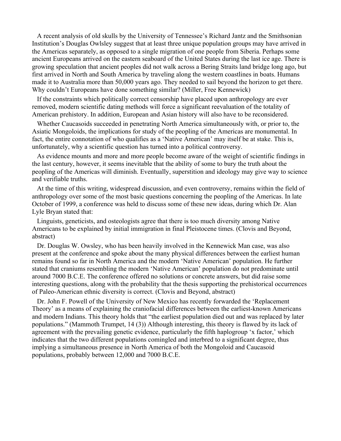A recent analysis of old skulls by the University of Tennessee's Richard Jantz and the Smithsonian Institution's Douglas Owlsley suggest that at least three unique population groups may have arrived in the Americas separately, as opposed to a single migration of one people from Siberia. Perhaps some ancient Europeans arrived on the eastern seaboard of the United States during the last ice age. There is growing speculation that ancient peoples did not walk across a Bering Straits land bridge long ago, but first arrived in North and South America by traveling along the western coastlines in boats. Humans made it to Australia more than 50,000 years ago. They needed to sail beyond the horizon to get there. Why couldn't Europeans have done something similar? (Miller, Free Kennewick)

If the constraints which politically correct censorship have placed upon anthropology are ever removed, modern scientific dating methods will force a significant reevaluation of the totality of American prehistory. In addition, European and Asian history will also have to be reconsidered.

Whether Caucasoids succeeded in penetrating North America simultaneously with, or prior to, the Asiatic Mongoloids, the implications for study of the peopling of the Americas are monumental. In fact, the entire connotation of who qualifies as a 'Native American' may itself be at stake. This is, unfortunately, why a scientific question has turned into a political controversy.

As evidence mounts and more and more people become aware of the weight of scientific findings in the last century, however, it seems inevitable that the ability of some to bury the truth about the peopling of the Americas will diminish. Eventually, superstition and ideology may give way to science and verifiable truths.

At the time of this writing, widespread discussion, and even controversy, remains within the field of anthropology over some of the most basic questions concerning the peopling of the Americas. In late October of 1999, a conference was held to discuss some of these new ideas, during which Dr. Alan Lyle Bryan stated that:

Linguists, geneticists, and osteologists agree that there is too much diversity among Native Americans to be explained by initial immigration in final Pleistocene times. (Clovis and Beyond, abstract)

Dr. Douglas W. Owsley, who has been heavily involved in the Kennewick Man case, was also present at the conference and spoke about the many physical differences between the earliest human remains found so far in North America and the modern 'Native American' population. He further stated that craniums resembling the modern 'Native American' population do not predominate until around 7000 B.C.E. The conference offered no solutions or concrete answers, but did raise some interesting questions, along with the probability that the thesis supporting the prehistorical occurrences of Paleo-American ethnic diversity is correct. (Clovis and Beyond, abstract)

Dr. John F. Powell of the University of New Mexico has recently forwarded the 'Replacement Theory' as a means of explaining the craniofacial differences between the earliest-known Americans and modern Indians. This theory holds that "the earliest population died out and was replaced by later populations." (Mammoth Trumpet, 14 (3)) Although interesting, this theory is flawed by its lack of agreement with the prevailing genetic evidence, particularly the fifth haplogroup 'x factor,' which indicates that the two different populations comingled and interbred to a significant degree, thus implying a simultaneous presence in North America of both the Mongoloid and Caucasoid populations, probably between 12,000 and 7000 B.C.E.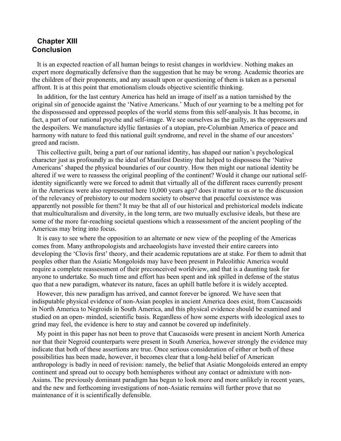# **Chapter XIII Conclusion**

It is an expected reaction of all human beings to resist changes in worldview. Nothing makes an expert more dogmatically defensive than the suggestion that he may be wrong. Academic theories are the children of their proponents, and any assault upon or questioning of them is taken as a personal affront. It is at this point that emotionalism clouds objective scientific thinking.

In addition, for the last century America has held an image of itself as a nation tarnished by the original sin of genocide against the 'Native Americans.' Much of our yearning to be a melting pot for the dispossessed and oppressed peoples of the world stems from this self-analysis. It has become, in fact, a part of our national psyche and self-image. We see ourselves as the guilty, as the oppressors and the despoilers. We manufacture idyllic fantasies of a utopian, pre-Columbian America of peace and harmony with nature to feed this national guilt syndrome, and revel in the shame of our ancestors' greed and racism.

This collective guilt, being a part of our national identity, has shaped our nation's psychological character just as profoundly as the ideal of Manifest Destiny that helped to dispossess the 'Native Americans' shaped the physical boundaries of our country. How then might our national identity be altered if we were to reassess the original peopling of the continent? Would it change our national selfidentity significantly were we forced to admit that virtually all of the different races currently present in the Americas were also represented here 10,000 years ago? does it matter to us or to the discussion of the relevancy of prehistory to our modern society to observe that peaceful coexistence was apparently not possible for them? It may be that all of our historical and prehistorical models indicate that multiculturalism and diversity, in the long term, are two mutually exclusive ideals, but these are some of the more far-reaching societal questions which a reassessment of the ancient peopling of the Americas may bring into focus.

It is easy to see where the opposition to an alternate or new view of the peopling of the Americas comes from. Many anthropologists and archaeologists have invested their entire careers into developing the 'Clovis first' theory, and their academic reputations are at stake. For them to admit that peoples other than the Asiatic Mongoloids may have been present in Paleolithic America would require a complete reassessment of their preconceived worldview, and that is a daunting task for anyone to undertake. So much time and effort has been spent and ink spilled in defense of the status quo that a new paradigm, whatever its nature, faces an uphill battle before it is widely accepted.

However, this new paradigm has arrived, and cannot forever be ignored. We have seen that indisputable physical evidence of non-Asian peoples in ancient America does exist, from Caucasoids in North America to Negroids in South America, and this physical evidence should be examined and studied on an open- minded, scientific basis. Regardless of how some experts with ideological axes to grind may feel, the evidence is here to stay and cannot be covered up indefinitely.

My point in this paper has not been to prove that Caucasoids were present in ancient North America nor that their Negroid counterparts were present in South America, however strongly the evidence may indicate that both of these assertions are true. Once serious consideration of either or both of these possibilities has been made, however, it becomes clear that a long-held belief of American anthropology is badly in need of revision: namely, the belief that Asiatic Mongoloids entered an empty continent and spread out to occupy both hemispheres without any contact or admixture with non-Asians. The previously dominant paradigm has begun to look more and more unlikely in recent years, and the new and forthcoming investigations of non-Asiatic remains will further prove that no maintenance of it is scientifically defensible.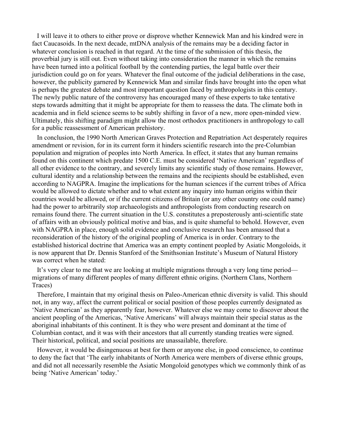I will leave it to others to either prove or disprove whether Kennewick Man and his kindred were in fact Caucasoids. In the next decade, mtDNA analysis of the remains may be a deciding factor in whatever conclusion is reached in that regard. At the time of the submission of this thesis, the proverbial jury is still out. Even without taking into consideration the manner in which the remains have been turned into a political football by the contending parties, the legal battle over their jurisdiction could go on for years. Whatever the final outcome of the judicial deliberations in the case, however, the publicity garnered by Kennewick Man and similar finds have brought into the open what is perhaps the greatest debate and most important question faced by anthropologists in this century. The newly public nature of the controversy has encouraged many of these experts to take tentative steps towards admitting that it might be appropriate for them to reassess the data. The climate both in academia and in field science seems to be subtly shifting in favor of a new, more open-minded view. Ultimately, this shifting paradigm might allow the most orthodox practitioners in anthropology to call for a public reassessment of American prehistory.

In conclusion, the 1990 North American Graves Protection and Repatriation Act desperately requires amendment or revision, for in its current form it hinders scientific research into the pre-Columbian population and migration of peoples into North America. In effect, it states that any human remains found on this continent which predate 1500 C.E. must be considered 'Native American' regardless of all other evidence to the contrary, and severely limits any scientific study of those remains. However, cultural identity and a relationship between the remains and the recipients should be established, even according to NAGPRA. Imagine the implications for the human sciences if the current tribes of Africa would be allowed to dictate whether and to what extent any inquiry into human origins within their countries would be allowed, or if the current citizens of Britain (or any other country one could name) had the power to arbitrarily stop archaeologists and anthropologists from conducting research on remains found there. The current situation in the U.S. constitutes a preposterously anti-scientific state of affairs with an obviously political motive and bias, and is quite shameful to behold. However, even with NAGPRA in place, enough solid evidence and conclusive research has been amassed that a reconsideration of the history of the original peopling of America is in order. Contrary to the established historical doctrine that America was an empty continent peopled by Asiatic Mongoloids, it is now apparent that Dr. Dennis Stanford of the Smithsonian Institute's Museum of Natural History was correct when he stated:

It's very clear to me that we are looking at multiple migrations through a very long time period migrations of many different peoples of many different ethnic origins. (Northern Clans, Northern Traces)

Therefore, I maintain that my original thesis on Paleo-American ethnic diversity is valid. This should not, in any way, affect the current political or social position of those peoples currently designated as 'Native American' as they apparently fear, however. Whatever else we may come to discover about the ancient peopling of the Americas, 'Native Americans' will always maintain their special status as the aboriginal inhabitants of this continent. It is they who were present and dominant at the time of Columbian contact, and it was with their ancestors that all currently standing treaties were signed. Their historical, political, and social positions are unassailable, therefore.

However, it would be disingenuous at best for them or anyone else, in good conscience, to continue to deny the fact that 'The early inhabitants of North America were members of diverse ethnic groups, and did not all necessarily resemble the Asiatic Mongoloid genotypes which we commonly think of as being 'Native American' today.'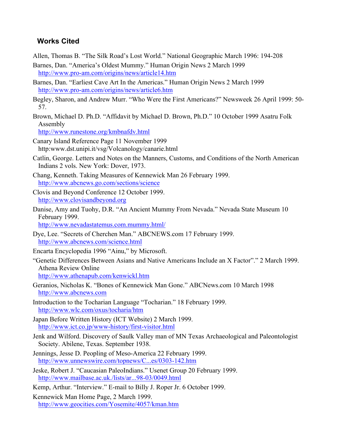# **Works Cited**

- Allen, Thomas B. "The Silk Road's Lost World." National Geographic March 1996: 194-208
- Barnes, Dan. "America's Oldest Mummy." Human Origin News 2 March 1999 http://www.pro-am.com/origins/news/article14.htm
- Barnes, Dan. "Earliest Cave Art In the Americas." Human Origin News 2 March 1999 http://www.pro-am.com/origins/news/article6.htm
- Begley, Sharon, and Andrew Murr. "Who Were the First Americans?" Newsweek 26 April 1999: 50- 57.
- Brown, Michael D. Ph.D. "Affidavit by Michael D. Brown, Ph.D." 10 October 1999 Asatru Folk Assembly

http://www.runestone.org/kmbnafdv.html

- Canary Island Reference Page 11 November 1999 http:www.dst.unipi.it/vsg/Volcanology/canarie.html
- Catlin, George. Letters and Notes on the Manners, Customs, and Conditions of the North American Indians 2 vols. New York: Dover, 1973.
- Chang, Kenneth. Taking Measures of Kennewick Man 26 February 1999. http://www.abcnews.go.com/sections/science
- Clovis and Beyond Conference 12 October 1999. http://www.clovisandbeyond.org
- Danise, Amy and Tuohy, D.R. "An Ancient Mummy From Nevada." Nevada State Museum 10 February 1999.

http://www.nevadastatemus.com.mummy.html/

- Dye, Lee. "Secrets of Cherchen Man." ABCNEWS.com 17 February 1999. http://www.abcnews.com/science.html
- Encarta Encyclopedia 1996 "Ainu," by Microsoft.
- "Genetic Differences Between Asians and Native Americans Include an X Factor"." 2 March 1999. Athena Review Online http://www.athenapub.com/kenwickl.htm
- Geranios, Nicholas K. "Bones of Kennewick Man Gone." ABCNews.com 10 March 1998 http://www.abcnews.com
- Introduction to the Tocharian Language "Tocharian." 18 February 1999. http://www.wlc.com/oxus/tocharia/htm
- Japan Before Written History (ICT Website) 2 March 1999. http://www.ict.co.jp/www-history/first-visitor.html
- Jenk and Wilford. Discovery of Saulk Valley man of MN Texas Archaeological and Paleontologist Society. Abilene, Texas. September 1938.
- Jennings, Jesse D. Peopling of Meso-America 22 February 1999. http://www.unnewswire.com/topnews/C...es/0303-142.htm
- Jeske, Robert J. "Caucasian PaleoIndians." Usenet Group 20 February 1999. http://www.mailbase.ac.uk./lists/ar...98-03/0049.html
- Kemp, Arthur. "Interview." E-mail to Billy J. Roper Jr. 6 October 1999.
- Kennewick Man Home Page, 2 March 1999. http://www.geocities.com/Yosemite/4057/kman.htm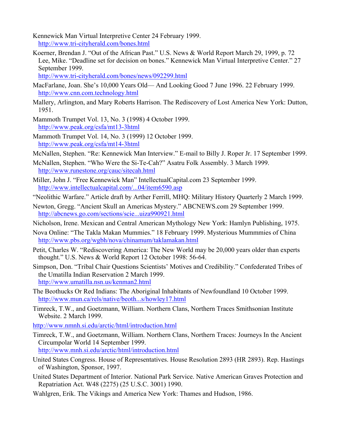Kennewick Man Virtual Interpretive Center 24 February 1999. http://www.tri-cityherald.com/bones.html

Koerner, Brendan J. "Out of the African Past." U.S. News & World Report March 29, 1999, p. 72 Lee, Mike. "Deadline set for decision on bones." Kennewick Man Virtual Interpretive Center." 27 September 1999.

http://www.tri-cityherald.com/bones/news/092299.html

- MacFarlane, Joan. She's 10,000 Years Old— And Looking Good 7 June 1996. 22 February 1999. http://www.cnn.com.technology.html
- Mallery, Arlington, and Mary Roberts Harrison. The Rediscovery of Lost America New York: Dutton, 1951.
- Mammoth Trumpet Vol. 13, No. 3 (1998) 4 October 1999. http://www.peak.org/csfa/mt13-3html
- Mammoth Trumpet Vol. 14, No. 3 (1999) 12 October 1999. http://www.peak.org/csfa/mt14-3html
- McNallen, Stephen. "Re: Kennewick Man Interview." E-mail to Billy J. Roper Jr. 17 September 1999.
- McNallen, Stephen. "Who Were the Si-Te-Cah?" Asatru Folk Assembly. 3 March 1999. http://www.runestone.org/cauc/sitecah.html
- Miller, John J. "Free Kennewick Man" IntellectualCapital.com 23 September 1999. http://www.intellectualcapital.com/...04/item6590.asp
- "Neolithic Warfare." Article draft by Arther Ferrill, MHQ: Military History Quarterly 2 March 1999.
- Newton, Gregg. "Ancient Skull an Americas Mystery." ABCNEWS.com 29 September 1999. http://abcnews.go.com/sections/scie...uiza990921.html
- Nicholson, Irene. Mexican and Central American Mythology New York: Hamlyn Publishing, 1975.
- Nova Online: "The Takla Makan Mummies." 18 February 1999. Mysterious Mummmies of China http://www.pbs.org/wgbh/nova/chinamum/taklamakan.html
- Petit, Charles W. "Rediscovering America: The New World may be 20,000 years older than experts thought." U.S. News & World Report 12 October 1998: 56-64.
- Simpson, Don. "Tribal Chair Questions Scientists' Motives and Credibility." Confederated Tribes of the Umatilla Indian Reservation 2 March 1999. http://www.umatilla.nsn.us/kenman2.html
- The Beothucks Or Red Indians: The Aboriginal Inhabitants of Newfoundland 10 October 1999. http://www.mun.ca/rels/native/beoth...s/howley17.html
- Timreck, T.W., and Goetzmann, William. Northern Clans, Northern Traces Smithsonian Institute Website. 2 March 1999.

http://www.nmnh.si.edu/arctic/html/introduction.html

- Timreck, T.W., and Goetzmann, William. Northern Clans, Northern Traces: Journeys In the Ancient Circumpolar World 14 September 1999. http://www.mnh.si.edu/arctic/html/introduction.html
- United States Congress. House of Representatives. House Resolution 2893 (HR 2893). Rep. Hastings of Washington, Sponsor, 1997.
- United States Department of Interior. National Park Service. Native American Graves Protection and Repatriation Act. W48 (2275) (25 U.S.C. 3001) 1990.
- Wahlgren, Erik. The Vikings and America New York: Thames and Hudson, 1986.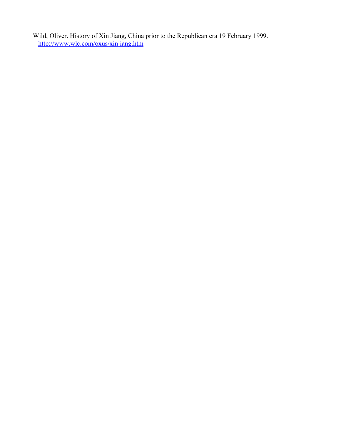Wild, Oliver. History of Xin Jiang, China prior to the Republican era 19 February 1999. http://www.wlc.com/oxus/xinjiang.htm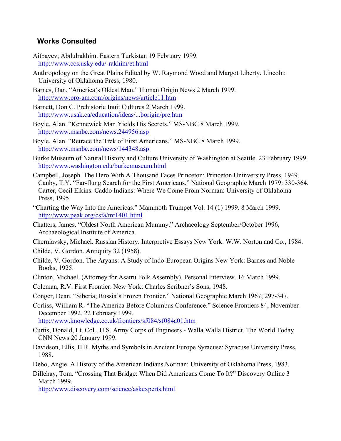# **Works Consulted**

- Aitbayev, Abdulrakhim. Eastern Turkistan 19 February 1999. http://www.ccs.usky.edu/-rakhim/et.html
- Anthropology on the Great Plains Edited by W. Raymond Wood and Margot Liberty. Lincoln: University of Oklahoma Press, 1980.
- Barnes, Dan. "America's Oldest Man." Human Origin News 2 March 1999. http://www.pro-am.com/origins/news/article11.htm
- Barnett, Don C. Prehistoric Inuit Cultures 2 March 1999. http://www.usak.ca/education/ideas/...borigin/pre.htm
- Boyle, Alan. "Kennewick Man Yields His Secrets." MS-NBC 8 March 1999. http://www.msnbc.com/news.244956.asp
- Boyle, Alan. "Retrace the Trek of First Americans." MS-NBC 8 March 1999. http://www.msnbc.com/news/144348.asp
- Burke Museum of Natural History and Culture University of Washington at Seattle. 23 February 1999. http://www.washington.edu/burkemuseum.html
- Campbell, Joseph. The Hero With A Thousand Faces Princeton: Princeton Uninversity Press, 1949. Canby, T.Y. "Far-flung Search for the First Americans." National Geographic March 1979: 330-364. Carter, Cecil Elkins. Caddo Indians: Where We Come From Norman: University of Oklahoma Press, 1995.
- "Charting the Way Into the Americas." Mammoth Trumpet Vol. 14 (1) 1999. 8 March 1999. http://www.peak.org/csfa/mt1401.html
- Chatters, James. "Oldest North American Mummy." Archaeology September/October 1996, Archaeological Institute of America.
- Cherniavsky, Michael. Russian History, Interpretive Essays New York: W.W. Norton and Co., 1984.
- Childe, V. Gordon. Antiquity 32 (1958).
- Childe, V. Gordon. The Aryans: A Study of Indo-European Origins New York: Barnes and Noble Books, 1925.
- Clinton, Michael. (Attorney for Asatru Folk Assembly). Personal Interview. 16 March 1999.
- Coleman, R.V. First Frontier. New York: Charles Scribner's Sons, 1948.
- Conger, Dean. "Siberia; Russia's Frozen Frontier." National Geographic March 1967; 297-347.
- Corliss, William R. "The America Before Columbus Conference." Science Frontiers 84, November-December 1992. 22 February 1999.

http://www.knowledge.co.uk/frontiers/sf084/sf084a01.htm

- Curtis, Donald, Lt. Col., U.S. Army Corps of Engineers Walla Walla District. The World Today CNN News 20 January 1999.
- Davidson, Ellis, H.R. Myths and Symbols in Ancient Europe Syracuse: Syracuse University Press, 1988.
- Debo, Angie. A History of the American Indians Norman: University of Oklahoma Press, 1983.
- Dillehay, Tom. "Crossing That Bridge: When Did Americans Come To It?" Discovery Online 3 March 1999.

http://www.discovery.com/science/askexperts.html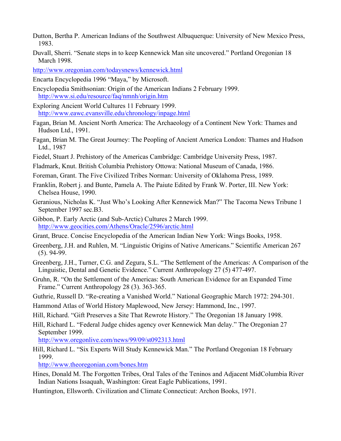- Dutton, Bertha P. American Indians of the Southwest Albuquerque: University of New Mexico Press, 1983.
- Duvall, Sherri. "Senate steps in to keep Kennewick Man site uncovered." Portland Oregonian 18 March 1998.

http://www.oregonian.com/todaysnews/kennewick.html

Encarta Encyclopedia 1996 "Maya," by Microsoft.

Encyclopedia Smithsonian: Origin of the American Indians 2 February 1999. http://www.si.edu/resource/faq/nmnh/origin.htm

Exploring Ancient World Cultures 11 February 1999. http://www.eawc.evansville.edu/chronology/inpage.html

- Fagan, Brian M. Ancient North America: The Archaeology of a Continent New York: Thames and Hudson Ltd., 1991.
- Fagan, Brian M. The Great Journey: The Peopling of Ancient America London: Thames and Hudson Ltd., 1987
- Fiedel, Stuart J. Prehistory of the Americas Cambridge: Cambridge University Press, 1987.
- Fladmark, Knut. British Columbia Prehistory Ottowa: National Museum of Canada, 1986.
- Foreman, Grant. The Five Civilized Tribes Norman: University of Oklahoma Press, 1989.
- Franklin, Robert j. and Bunte, Pamela A. The Paiute Edited by Frank W. Porter, III. New York: Chelsea House, 1990.
- Geranious, Nicholas K. "Just Who's Looking After Kennewick Man?" The Tacoma News Tribune 1 September 1997 sec.B3.
- Gibbon, P. Early Arctic (and Sub-Arctic) Cultures 2 March 1999. http://www.geocities.com/Athens/Oracle/2596/arctic.html
- Grant, Bruce. Concise Encyclopedia of the American Indian New York: Wings Books, 1958.
- Greenberg, J.H. and Ruhlen, M. "Linguistic Origins of Native Americans." Scientific American 267 (5). 94-99.
- Greenberg, J.H., Turner, C.G. and Zegura, S.L. "The Settlement of the Americas: A Comparison of the Linguistic, Dental and Genetic Evidence." Current Anthropology 27 (5) 477-497.
- Gruhn, R. "On the Settlement of the Americas: South American Evidence for an Expanded Time Frame." Current Anthropology 28 (3). 363-365.
- Guthrie, Russell D. "Re-creating a Vanished World." National Geographic March 1972: 294-301.
- Hammond Atlas of World History Maplewood, New Jersey: Hammond, Inc., 1997.
- Hill, Richard. "Gift Preserves a Site That Rewrote History." The Oregonian 18 January 1998.
- Hill, Richard L. "Federal Judge chides agency over Kennewick Man delay." The Oregonian 27 September 1999.

http://www.oregonlive.com/news/99/09/st092313.html

Hill, Richard L. "Six Experts Will Study Kennewick Man." The Portland Oregonian 18 February 1999.

http://www.theoregonian.com/bones.htm

- Hines, Donald M. The Forgotten Tribes, Oral Tales of the Teninos and Adjacent MidColumbia River Indian Nations Issaquah, Washington: Great Eagle Publications, 1991.
- Huntington, Ellsworth. Civilization and Climate Connecticut: Archon Books, 1971.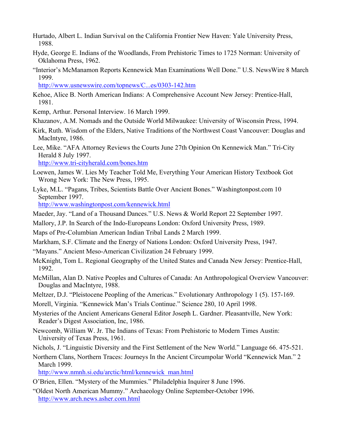- Hurtado, Albert L. Indian Survival on the California Frontier New Haven: Yale University Press, 1988.
- Hyde, George E. Indians of the Woodlands, From Prehistoric Times to 1725 Norman: University of Oklahoma Press, 1962.
- "Interior's McManamon Reports Kennewick Man Examinations Well Done." U.S. NewsWire 8 March 1999.

http://www.usnewswire.com/topnews/C...es/0303-142.htm

- Kehoe, Alice B. North American Indians: A Comprehensive Account New Jersey: Prentice-Hall, 1981.
- Kemp, Arthur. Personal Interview. 16 March 1999.
- Khazanov, A.M. Nomads and the Outside World Milwaukee: University of Wisconsin Press, 1994.
- Kirk, Ruth. Wisdom of the Elders, Native Traditions of the Northwest Coast Vancouver: Douglas and MacIntyre, 1986.

Lee, Mike. "AFA Attorney Reviews the Courts June 27th Opinion On Kennewick Man." Tri-City Herald 8 July 1997.

http://www.tri-cityherald.com/bones.htm

- Loewen, James W. Lies My Teacher Told Me, Everything Your American History Textbook Got Wrong New York: The New Press, 1995.
- Lyke, M.L. "Pagans, Tribes, Scientists Battle Over Ancient Bones." Washingtonpost.com 10 September 1997.

http://www.washingtonpost.com/kennewick.html

- Maeder, Jay. "Land of a Thousand Dances." U.S. News & World Report 22 September 1997.
- Mallory, J.P. In Search of the Indo-Europeans London: Oxford University Press, 1989.

Maps of Pre-Columbian American Indian Tribal Lands 2 March 1999.

- Markham, S.F. Climate and the Energy of Nations London: Oxford University Press, 1947.
- "Mayans." Ancient Meso-American Civilization 24 February 1999.
- McKnight, Tom L. Regional Geography of the United States and Canada New Jersey: Prentice-Hall, 1992.
- McMillan, Alan D. Native Peoples and Cultures of Canada: An Anthropological Overview Vancouver: Douglas and MacIntyre, 1988.
- Meltzer, D.J. "Pleistocene Peopling of the Americas." Evolutionary Anthropology 1 (5). 157-169.

Morell, Virginia. "Kennewick Man's Trials Continue." Science 280, 10 April 1998.

- Mysteries of the Ancient Americans General Editor Joseph L. Gardner. Pleasantville, New York: Reader's Digest Association, Inc, 1986.
- Newcomb, William W. Jr. The Indians of Texas: From Prehistoric to Modern Times Austin: University of Texas Press, 1961.
- Nichols, J. "Linguistic Diversity and the First Settlement of the New World." Language 66. 475-521.
- Northern Clans, Northern Traces: Journeys In the Ancient Circumpolar World "Kennewick Man." 2 March 1999.

http://www.nmnh.si.edu/arctic/html/kennewick\_man.html

- O'Brien, Ellen. "Mystery of the Mummies." Philadelphia Inquirer 8 June 1996.
- "Oldest North American Mummy." Archaeology Online September-October 1996. http://www.arch.news.asher.com.html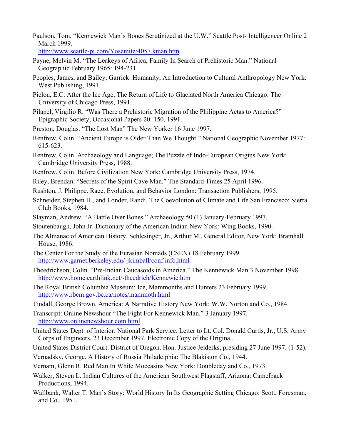Paulson, Tom. "Kennewick Man's Bones Scrutinized at the U.W." Seattle Post- Intelligencer Online 2 March 1999.

http://www.seattle-pi.com/Yosemite/4057.kman.htm

- Payne, Melvin M. "The Leakeys of Africa; Family In Search of Prehistoric Man." National Geographic February 1965: 194-231.
- Peoples, James, and Bailey, Garrick. Humanity, An Introduction to Cultural Anthropology New York: West Publishing, 1991.
- Pielou, E.C. After the Ice Age, The Return of Life to Glaciated North America Chicago: The University of Chicago Press, 1991.
- Pilapel, Virgilio R. "Was There a Prehistoric Migration of the Philippine Aetas to America?" Epigraphic Society, Occasional Papers 20: 150, 1991.
- Preston, Douglas. "The Lost Man" The New Yorker 16 June 1997.
- Renfrew, Colin. "Ancient Europe is Older Than We Thought." National Geographic November 1977: 615-623.
- Renfrew, Colin. Archaeology and Language; The Puzzle of Indo-European Origins New York: Cambridge University Press, 1988.
- Renfrew, Colin. Before Civilization New York: Cambridge University Press, 1974.
- Riley, Brendan. "Secrets of the Spirit Cave Man." The Standard Times 25 April 1996.
- Rushton, J. Philippe. Race, Evolution, and Behavior London: Transaction Publishers, 1995.
- Schneider, Stephen H., and Londer, Randi. The Coevolution of Climate and Life San Francisco: Sierra Club Books, 1984.
- Slayman, Andrew. "A Battle Over Bones." Archaeology 50 (1) January-February 1997.
- Stoutenbaugh, John Jr. Dictionary of the American Indian New York: Wing Books, 1990.
- The Almanac of American History. Schlesinger, Jr., Arthur M., General Editor, New York: Bramhall House, 1986.
- The Center For the Study of the Eurasian Nomads (CSEN) 18 February 1999. http://www.garnet.berkeley.edu/-jkimball/conf.info.html
- Theedrichson, Colin. "Pre-Indian Caucasoids in America." The Kennewick Man 3 November 1998. http://www.home.earthlink.net/-theedrich/Kennewic.htm
- The Royal British Columbia Museum: Ice, Mammonths and Hunters 23 February 1999. http://www.rbcm.gov.bc.ca/notes/mammoth.html
- Tindall, George Brown. America: A Narrative History New York: W.W. Norton and Co., 1984.
- Transcript: Online Newshour "The Fight For Kennewick Man." 3 January 1997. http://www.onlinenewshour.com.html
- United States Dept. of Interior. National Park Service. Letter to Lt. Col. Donald Curtis, Jr., U.S. Army Corps of Engineers, 23 December 1997. Electronic Copy of the Original.
- United States District Court. District of Oregon. Hon. Justice Jelderks, presiding 27 June 1997. (1-52).
- Vernadsky, George. A History of Russia Philadelphia: The Blakiston Co., 1944.
- Vernam, Glenn R. Red Man In White Moccasins New York: Doubleday and Co., 1973.
- Walker, Steven L. Indian Cultures of the American Southwest Flagstaff, Arizona: Camelback Productions, 1994.
- Wallbank, Walter T. Man's Story: World History In Its Geographic Setting Chicago: Scott, Foresman, and Co., 1951.